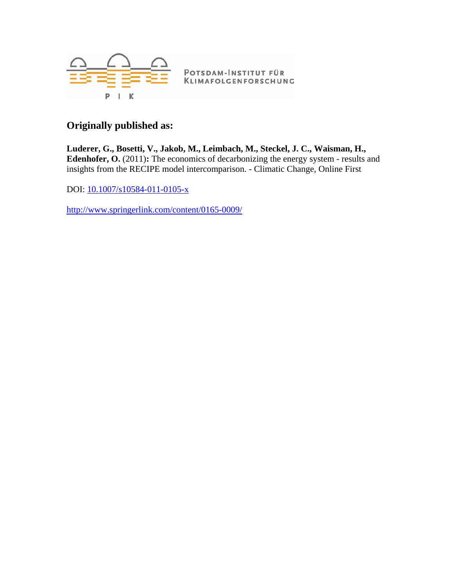

### **Originally published as:**

**Luderer, G., Bosetti, V., Jakob, M., Leimbach, M., Steckel, J. C., Waisman, H., Edenhofer, O.** (2011)**:** The economics of decarbonizing the energy system - results and insights from the RECIPE model intercomparison. - Climatic Change, Online First

DOI: [10.1007/s10584-011-0105-x](http://dx.doi.org/10.1007/s10584-011-0105-x)

<http://www.springerlink.com/content/0165-0009/>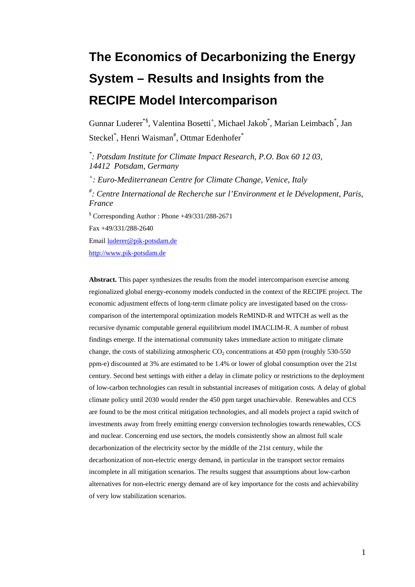# **The Economics of Decarbonizing the Energy System – Results and Insights from the RECIPE Model Intercomparison**

Gunnar Luderer<sup>\*§</sup>, Valentina Bosetti<sup>+</sup>, Michael Jakob<sup>\*</sup>, Marian Leimbach<sup>\*</sup>, Jan Steckel<sup>\*</sup>, Henri Waisman<sup>#</sup>, Ottmar Edenhofer<sup>\*</sup>

*\* : Potsdam Institute for Climate Impact Research, P.O. Box 60 12 03, 14412 Potsdam, Germany* 

*+ : Euro-Mediterranean Centre for Climate Change, Venice, Italy* 

*# : Centre International de Recherche sur l'Environment et le Dévelopment, Paris, France* 

§ Corresponding Author : Phone +49/331/288-2671

Fax +49/331/288-2640

Email [luderer@pik-potsdam.de](mailto:luderer@pik-potsdam.de)

[http://www.pik-potsdam.de](http://www.pik-potsdam.de/)

**Abstract.** This paper synthesizes the results from the model intercomparison exercise among regionalized global energy-economy models conducted in the context of the RECIPE project. The economic adjustment effects of long-term climate policy are investigated based on the crosscomparison of the intertemporal optimization models ReMIND-R and WITCH as well as the recursive dynamic computable general equilibrium model IMACLIM-R. A number of robust findings emerge. If the international community takes immediate action to mitigate climate change, the costs of stabilizing atmospheric  $CO<sub>2</sub>$  concentrations at 450 ppm (roughly 530-550) ppm-e) discounted at 3% are estimated to be 1.4% or lower of global consumption over the 21st century. Second best settings with either a delay in climate policy or restrictions to the deployment of low-carbon technologies can result in substantial increases of mitigation costs. A delay of global climate policy until 2030 would render the 450 ppm target unachievable. Renewables and CCS are found to be the most critical mitigation technologies, and all models project a rapid switch of investments away from freely emitting energy conversion technologies towards renewables, CCS and nuclear. Concerning end use sectors, the models consistently show an almost full scale decarbonization of the electricity sector by the middle of the 21st century, while the decarbonization of non-electric energy demand, in particular in the transport sector remains incomplete in all mitigation scenarios. The results suggest that assumptions about low-carbon alternatives for non-electric energy demand are of key importance for the costs and achievability of very low stabilization scenarios.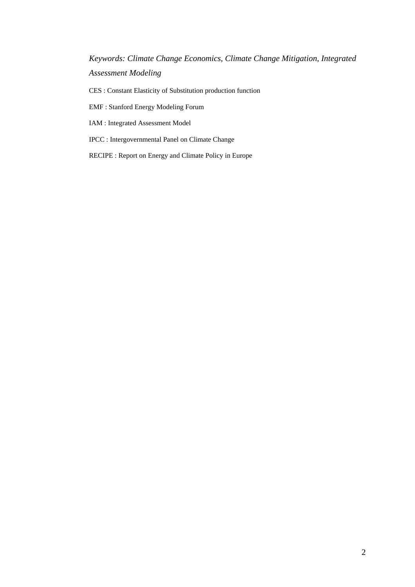*Keywords: Climate Change Economics, Climate Change Mitigation, Integrated Assessment Modeling* 

CES : Constant Elasticity of Substitution production function

EMF : Stanford Energy Modeling Forum

IAM : Integrated Assessment Model

IPCC : Intergovernmental Panel on Climate Change

RECIPE : Report on Energy and Climate Policy in Europe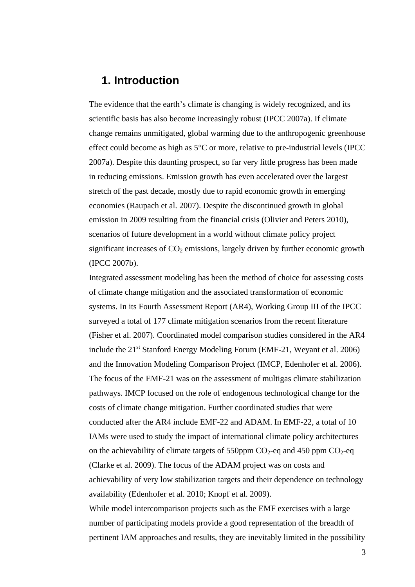### **1. Introduction**

The evidence that the earth's climate is changing is widely recognized, and its scientific basis has also become increasingly robust (IPCC 2007a). If climate change remains unmitigated, global warming due to the anthropogenic greenhouse effect could become as high as 5°C or more, relative to pre-industrial levels (IPCC 2007a). Despite this daunting prospect, so far very little progress has been made in reducing emissions. Emission growth has even accelerated over the largest stretch of the past decade, mostly due to rapid economic growth in emerging economies (Raupach et al. 2007). Despite the discontinued growth in global emission in 2009 resulting from the financial crisis (Olivier and Peters 2010), scenarios of future development in a world without climate policy project significant increases of  $CO<sub>2</sub>$  emissions, largely driven by further economic growth (IPCC 2007b).

Integrated assessment modeling has been the method of choice for assessing costs of climate change mitigation and the associated transformation of economic systems. In its Fourth Assessment Report (AR4), Working Group III of the IPCC surveyed a total of 177 climate mitigation scenarios from the recent literature (Fisher et al. 2007). Coordinated model comparison studies considered in the AR4 include the  $21<sup>st</sup>$  Stanford Energy Modeling Forum (EMF-21, Weyant et al. 2006) and the Innovation Modeling Comparison Project (IMCP, Edenhofer et al. 2006). The focus of the EMF-21 was on the assessment of multigas climate stabilization pathways. IMCP focused on the role of endogenous technological change for the costs of climate change mitigation. Further coordinated studies that were conducted after the AR4 include EMF-22 and ADAM. In EMF-22, a total of 10 IAMs were used to study the impact of international climate policy architectures on the achievability of climate targets of 550ppm  $CO_2$ -eq and 450 ppm  $CO_2$ -eq (Clarke et al. 2009). The focus of the ADAM project was on costs and achievability of very low stabilization targets and their dependence on technology availability (Edenhofer et al. 2010; Knopf et al. 2009).

While model intercomparison projects such as the EMF exercises with a large number of participating models provide a good representation of the breadth of pertinent IAM approaches and results, they are inevitably limited in the possibility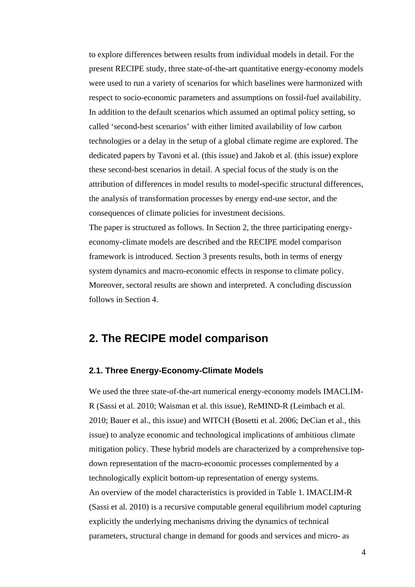to explore differences between results from individual models in detail. For the present RECIPE study, three state-of-the-art quantitative energy-economy models were used to run a variety of scenarios for which baselines were harmonized with respect to socio-economic parameters and assumptions on fossil-fuel availability. In addition to the default scenarios which assumed an optimal policy setting, so called 'second-best scenarios' with either limited availability of low carbon technologies or a delay in the setup of a global climate regime are explored. The dedicated papers by Tavoni et al. (this issue) and Jakob et al. (this issue) explore these second-best scenarios in detail. A special focus of the study is on the attribution of differences in model results to model-specific structural differences, the analysis of transformation processes by energy end-use sector, and the consequences of climate policies for investment decisions.

The paper is structured as follows. In Section 2, the three participating energyeconomy-climate models are described and the RECIPE model comparison framework is introduced. Section 3 presents results, both in terms of energy system dynamics and macro-economic effects in response to climate policy. Moreover, sectoral results are shown and interpreted. A concluding discussion follows in Section 4.

### **2. The RECIPE model comparison**

#### **2.1. Three Energy-Economy-Climate Models**

We used the three state-of-the-art numerical energy-economy models IMACLIM-R (Sassi et al. 2010; Waisman et al. this issue), ReMIND-R (Leimbach et al. 2010; Bauer et al., this issue) and WITCH (Bosetti et al. 2006; DeCian et al., this issue) to analyze economic and technological implications of ambitious climate mitigation policy. These hybrid models are characterized by a comprehensive topdown representation of the macro-economic processes complemented by a technologically explicit bottom-up representation of energy systems. An overview of the model characteristics is provided in [Table 1.](#page-32-0) IMACLIM-R (Sassi et al. 2010) is a recursive computable general equilibrium model capturing explicitly the underlying mechanisms driving the dynamics of technical parameters, structural change in demand for goods and services and micro- as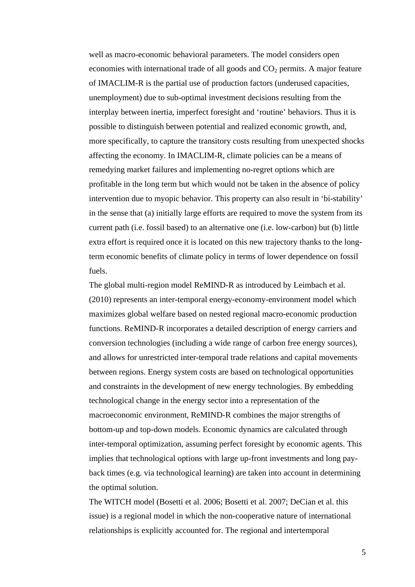well as macro-economic behavioral parameters. The model considers open economies with international trade of all goods and  $CO<sub>2</sub>$  permits. A major feature of IMACLIM-R is the partial use of production factors (underused capacities, unemployment) due to sub-optimal investment decisions resulting from the interplay between inertia, imperfect foresight and 'routine' behaviors. Thus it is possible to distinguish between potential and realized economic growth, and, more specifically, to capture the transitory costs resulting from unexpected shocks affecting the economy. In IMACLIM-R, climate policies can be a means of remedying market failures and implementing no-regret options which are profitable in the long term but which would not be taken in the absence of policy intervention due to myopic behavior. This property can also result in 'bi-stability' in the sense that (a) initially large efforts are required to move the system from its current path (i.e. fossil based) to an alternative one (i.e. low-carbon) but (b) little extra effort is required once it is located on this new trajectory thanks to the longterm economic benefits of climate policy in terms of lower dependence on fossil fuels.

The global multi-region model ReMIND-R as introduced by Leimbach et al. (2010) represents an inter-temporal energy-economy-environment model which maximizes global welfare based on nested regional macro-economic production functions. ReMIND-R incorporates a detailed description of energy carriers and conversion technologies (including a wide range of carbon free energy sources), and allows for unrestricted inter-temporal trade relations and capital movements between regions. Energy system costs are based on technological opportunities and constraints in the development of new energy technologies. By embedding technological change in the energy sector into a representation of the macroeconomic environment, ReMIND-R combines the major strengths of bottom-up and top-down models. Economic dynamics are calculated through inter-temporal optimization, assuming perfect foresight by economic agents. This implies that technological options with large up-front investments and long payback times (e.g. via technological learning) are taken into account in determining the optimal solution.

The WITCH model (Bosetti et al. 2006; Bosetti et al. 2007; DeCian et al. this issue) is a regional model in which the non-cooperative nature of international relationships is explicitly accounted for. The regional and intertemporal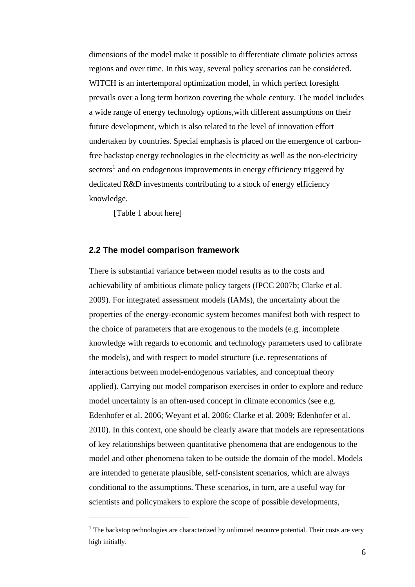dimensions of the model make it possible to differentiate climate policies across regions and over time. In this way, several policy scenarios can be considered. WITCH is an intertemporal optimization model, in which perfect foresight prevails over a long term horizon covering the whole century. The model includes a wide range of energy technology options,with different assumptions on their future development, which is also related to the level of innovation effort undertaken by countries. Special emphasis is placed on the emergence of carbonfree backstop energy technologies in the electricity as well as the non-electricity sectors<sup>[1](#page-6-0)</sup> and on endogenous improvements in energy efficiency triggered by dedicated R&D investments contributing to a stock of energy efficiency knowledge.

[Table 1 about here]

 $\overline{a}$ 

#### **2.2 The model comparison framework**

There is substantial variance between model results as to the costs and achievability of ambitious climate policy targets (IPCC 2007b; Clarke et al. 2009). For integrated assessment models (IAMs), the uncertainty about the properties of the energy-economic system becomes manifest both with respect to the choice of parameters that are exogenous to the models (e.g. incomplete knowledge with regards to economic and technology parameters used to calibrate the models), and with respect to model structure (i.e. representations of interactions between model-endogenous variables, and conceptual theory applied). Carrying out model comparison exercises in order to explore and reduce model uncertainty is an often-used concept in climate economics (see e.g. Edenhofer et al. 2006; Weyant et al. 2006; Clarke et al. 2009; Edenhofer et al. 2010). In this context, one should be clearly aware that models are representations of key relationships between quantitative phenomena that are endogenous to the model and other phenomena taken to be outside the domain of the model. Models are intended to generate plausible, self-consistent scenarios, which are always conditional to the assumptions. These scenarios, in turn, are a useful way for scientists and policymakers to explore the scope of possible developments,

<span id="page-6-0"></span> $1$  The backstop technologies are characterized by unlimited resource potential. Their costs are very high initially.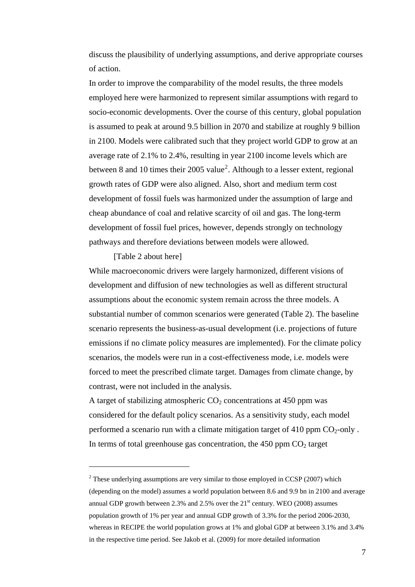discuss the plausibility of underlying assumptions, and derive appropriate courses of action.

In order to improve the comparability of the model results, the three models employed here were harmonized to represent similar assumptions with regard to socio-economic developments. Over the course of this century, global population is assumed to peak at around 9.5 billion in 2070 and stabilize at roughly 9 billion in 2100. Models were calibrated such that they project world GDP to grow at an average rate of 2.1% to 2.4%, resulting in year 2100 income levels which are between 8 and 10 times their [2](#page-7-0)005 value<sup>2</sup>. Although to a lesser extent, regional growth rates of GDP were also aligned. Also, short and medium term cost development of fossil fuels was harmonized under the assumption of large and cheap abundance of coal and relative scarcity of oil and gas. The long-term development of fossil fuel prices, however, depends strongly on technology pathways and therefore deviations between models were allowed.

#### [Table 2 about here]

 $\overline{a}$ 

While macroeconomic drivers were largely harmonized, different visions of development and diffusion of new technologies as well as different structural assumptions about the economic system remain across the three models. A substantial number of common scenarios were generated [\(Table 2](#page-33-0)). The baseline scenario represents the business-as-usual development (i.e. projections of future emissions if no climate policy measures are implemented). For the climate policy scenarios, the models were run in a cost-effectiveness mode, i.e. models were forced to meet the prescribed climate target. Damages from climate change, by contrast, were not included in the analysis.

A target of stabilizing atmospheric  $CO<sub>2</sub>$  concentrations at 450 ppm was considered for the default policy scenarios. As a sensitivity study, each model performed a scenario run with a climate mitigation target of 410 ppm  $CO_2$ -only. In terms of total greenhouse gas concentration, the  $450$  ppm  $CO<sub>2</sub>$  target

<span id="page-7-0"></span> $2^2$  These underlying assumptions are very similar to those employed in CCSP (2007) which (depending on the model) assumes a world population between 8.6 and 9.9 bn in 2100 and average annual GDP growth between 2.3% and 2.5% over the  $21<sup>st</sup>$  century. WEO (2008) assumes population growth of 1% per year and annual GDP growth of 3.3% for the period 2006-2030, whereas in RECIPE the world population grows at 1% and global GDP at between 3.1% and 3.4% in the respective time period. See Jakob et al. (2009) for more detailed information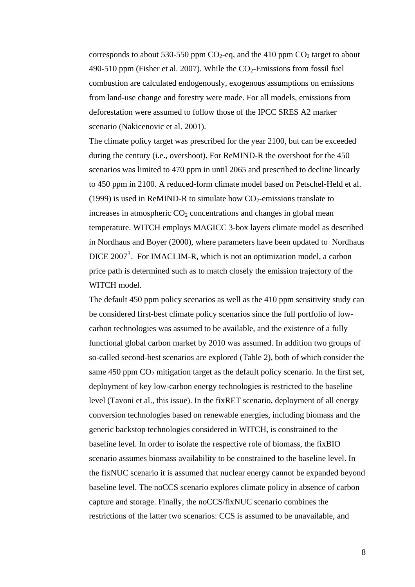corresponds to about 530-550 ppm  $CO<sub>2</sub>$ -eq, and the 410 ppm  $CO<sub>2</sub>$  target to about 490-510 ppm (Fisher et al. 2007). While the  $CO<sub>2</sub>$ -Emissions from fossil fuel combustion are calculated endogenously, exogenous assumptions on emissions from land-use change and forestry were made. For all models, emissions from deforestation were assumed to follow those of the IPCC SRES A2 marker scenario (Nakicenovic et al. 2001).

The climate policy target was prescribed for the year 2100, but can be exceeded during the century (i.e., overshoot). For ReMIND-R the overshoot for the 450 scenarios was limited to 470 ppm in until 2065 and prescribed to decline linearly to 450 ppm in 2100. A reduced-form climate model based on Petschel-Held et al. (1999) is used in ReMIND-R to simulate how  $CO<sub>2</sub>$ -emissions translate to increases in atmospheric  $CO<sub>2</sub>$  concentrations and changes in global mean temperature. WITCH employs MAGICC 3-box layers climate model as described in Nordhaus and Boyer (2000), where parameters have been updated to Nordhaus DICE 2007<sup>[3](#page-8-0)</sup>. For IMACLIM-R, which is not an optimization model, a carbon price path is determined such as to match closely the emission trajectory of the WITCH model.

<span id="page-8-0"></span>The default 450 ppm policy scenarios as well as the 410 ppm sensitivity study can be considered first-best climate policy scenarios since the full portfolio of lowcarbon technologies was assumed to be available, and the existence of a fully functional global carbon market by 2010 was assumed. In addition two groups of so-called second-best scenarios are explored (Table 2), both of which consider the same 450 ppm  $CO<sub>2</sub>$  mitigation target as the default policy scenario. In the first set, deployment of key low-carbon energy technologies is restricted to the baseline level (Tavoni et al., this issue). In the fixRET scenario, deployment of all energy conversion technologies based on renewable energies, including biomass and the generic backstop technologies considered in WITCH, is constrained to the baseline level. In order to isolate the respective role of biomass, the fixBIO scenario assumes biomass availability to be constrained to the baseline level. In the fixNUC scenario it is assumed that nuclear energy cannot be expanded beyond baseline level. The noCCS scenario explores climate policy in absence of carbon capture and storage. Finally, the noCCS/fixNUC scenario combines the restrictions of the latter two scenarios: CCS is assumed to be unavailable, and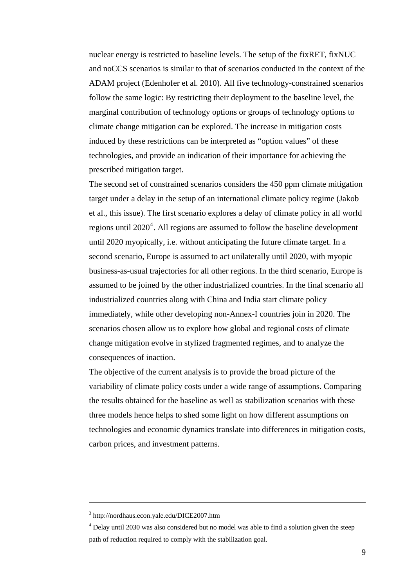nuclear energy is restricted to baseline levels. The setup of the fixRET, fixNUC and noCCS scenarios is similar to that of scenarios conducted in the context of the ADAM project (Edenhofer et al. 2010). All five technology-constrained scenarios follow the same logic: By restricting their deployment to the baseline level, the marginal contribution of technology options or groups of technology options to climate change mitigation can be explored. The increase in mitigation costs induced by these restrictions can be interpreted as "option values" of these technologies, and provide an indication of their importance for achieving the prescribed mitigation target.

The second set of constrained scenarios considers the 450 ppm climate mitigation target under a delay in the setup of an international climate policy regime (Jakob et al., this issue). The first scenario explores a delay of climate policy in all world regions until  $2020<sup>4</sup>$  $2020<sup>4</sup>$  $2020<sup>4</sup>$ . All regions are assumed to follow the baseline development until 2020 myopically, i.e. without anticipating the future climate target. In a second scenario, Europe is assumed to act unilaterally until 2020, with myopic business-as-usual trajectories for all other regions. In the third scenario, Europe is assumed to be joined by the other industrialized countries. In the final scenario all industrialized countries along with China and India start climate policy immediately, while other developing non-Annex-I countries join in 2020. The scenarios chosen allow us to explore how global and regional costs of climate change mitigation evolve in stylized fragmented regimes, and to analyze the consequences of inaction.

The objective of the current analysis is to provide the broad picture of the variability of climate policy costs under a wide range of assumptions. Comparing the results obtained for the baseline as well as stabilization scenarios with these three models hence helps to shed some light on how different assumptions on technologies and economic dynamics translate into differences in mitigation costs, carbon prices, and investment patterns.

 $\overline{a}$ 

<sup>3</sup> http://nordhaus.econ.yale.edu/DICE2007.htm

<span id="page-9-0"></span><sup>&</sup>lt;sup>4</sup> Delay until 2030 was also considered but no model was able to find a solution given the steep path of reduction required to comply with the stabilization goal.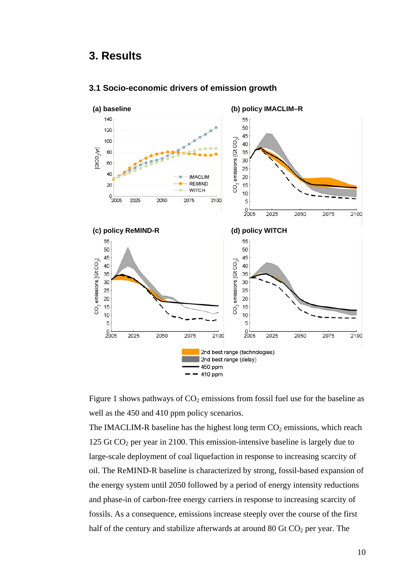### **3. Results**



#### **3.1 Socio-economic drivers of emission growth**

Figure 1 shows pathways of  $CO<sub>2</sub>$  emissions from fossil fuel use for the baseline as well as the 450 and 410 ppm policy scenarios.

The IMACLIM-R baseline has the highest long term  $CO<sub>2</sub>$  emissions, which reach 125 Gt  $CO<sub>2</sub>$  per year in 2100. This emission-intensive baseline is largely due to large-scale deployment of coal liquefaction in response to increasing scarcity of oil. The ReMIND-R baseline is characterized by strong, fossil-based expansion of the energy system until 2050 followed by a period of energy intensity reductions and phase-in of carbon-free energy carriers in response to increasing scarcity of fossils. As a consequence, emissions increase steeply over the course of the first half of the century and stabilize afterwards at around 80 Gt  $CO<sub>2</sub>$  per year. The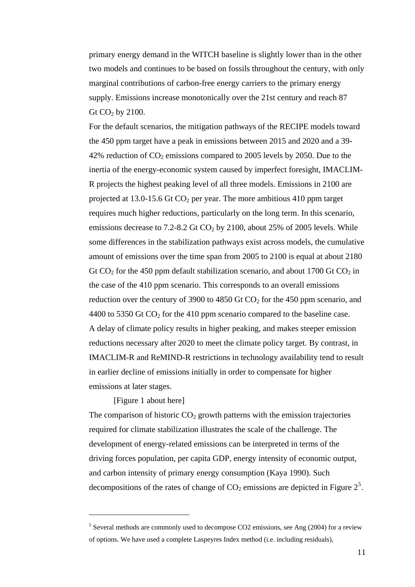two models and continues to be based on fossils throughout the century, with only supply. Emissions increase monotonically over the 21st century and reach 87 primary energy demand in the WITCH baseline is slightly lower than in the other marginal contributions of carbon-free energy carriers to the primary energy Gt  $CO<sub>2</sub>$  by 2100.

For the default scenarios, the mitigation pathways of the RECIPE models toward inertia of the energy-economic system caused by imperfect foresight, IMACLIM-R projects the highest peaking level of all three models. Emissions in 2100 are Gt  $CO_2$  for the 450 ppm default stabilization scenario, and about 1700 Gt  $CO_2$  in reduction over the century of 3900 to 4850 Gt  $CO<sub>2</sub>$  for the 450 ppm scenario, and IMACLIM-R and ReMIND-R restrictions in technology availability tend to result in earlier decline of emissions initially in order to compensate for higher emissions at later stages. the 450 ppm target have a peak in emissions between 2015 and 2020 and a 39- 42% reduction of  $CO<sub>2</sub>$  emissions compared to 2005 levels by 2050. Due to the projected at 13.0-15.6 Gt  $CO<sub>2</sub>$  per year. The more ambitious 410 ppm target requires much higher reductions, particularly on the long term. In this scenario, emissions decrease to  $7.2$ -8.2 Gt  $CO<sub>2</sub>$  by 2100, about 25% of 2005 levels. While some differences in the stabilization pathways exist across models, the cumulative amount of emissions over the time span from 2005 to 2100 is equal at about 2180 the case of the 410 ppm scenario. This corresponds to an overall emissions 4400 to 5350 Gt  $CO<sub>2</sub>$  for the 410 ppm scenario compared to the baseline case. A delay of climate policy results in higher peaking, and makes steeper emission reductions necessary after 2020 to meet the climate policy target. By contrast, in

#### [Figure 1 about here]

 $\overline{a}$ 

The comparison of historic  $CO<sub>2</sub>$  growth patterns with the emission trajectories driving forces population, per capita GDP, energy intensity of economic output, decompositions of the rates of change of  $CO<sub>2</sub>$  emissions are depicted in Figure  $2<sup>5</sup>$ . required for climate stabilization illustrates the scale of the challenge. The development of energy-related emissions can be interpreted in terms of the and carbon intensity of primary energy consumption (Kaya 1990). Such

 $5$  Several methods are commonly used to decompose CO2 emissions, see Ang (2004) for a review of options. We have used a complete Laspeyres Index method (i.e. including residuals),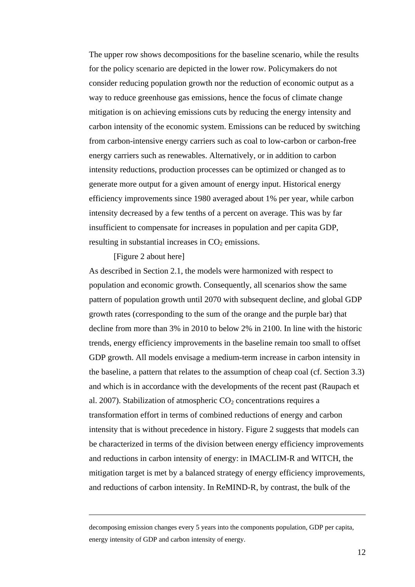The upper row shows decompositions for the baseline scenario, while the results for the policy scenario are depicted in the lower row. Policymakers do not consider reducing population growth nor the reduction of economic output as a way to reduce greenhouse gas emissions, hence the focus of climate change mitigation is on achieving emissions cuts by reducing the energy intensity and carbon intensity of the economic system. Emissions can be reduced by switching from carbon-intensive energy carriers such as coal to low-carbon or carbon-free energy carriers such as renewables. Alternatively, or in addition to carbon intensity reductions, production processes can be optimized or changed as to generate more output for a given amount of energy input. Historical energy efficiency improvements since 1980 averaged about 1% per year, while carbon intensity decreased by a few tenths of a percent on average. This was by far insufficient to compensate for increases in population and per capita GDP, resulting in substantial increases in  $CO<sub>2</sub>$  emissions.

#### [Figure 2 about here]

 $\overline{a}$ 

As described in Section 2.1, the models were harmonized with respect to population and economic growth. Consequently, all scenarios show the same pattern of population growth until 2070 with subsequent decline, and global GDP growth rates (corresponding to the sum of the orange and the purple bar) that decline from more than 3% in 2010 to below 2% in 2100. In line with the historic trends, energy efficiency improvements in the baseline remain too small to offset GDP growth. All models envisage a medium-term increase in carbon intensity in the baseline, a pattern that relates to the assumption of cheap coal (cf. Section 3.3) and which is in accordance with the developments of the recent past (Raupach et al. 2007). Stabilization of atmospheric  $CO<sub>2</sub>$  concentrations requires a transformation effort in terms of combined reductions of energy and carbon intensity that is without precedence in history. Figure 2 suggests that models can be characterized in terms of the division between energy efficiency improvements and reductions in carbon intensity of energy: in IMACLIM-R and WITCH, the mitigation target is met by a balanced strategy of energy efficiency improvements, and reductions of carbon intensity. In ReMIND-R, by contrast, the bulk of the

 $\overline{a}$ 

decomposing emission changes every 5 years into the components population, GDP per capita, energy intensity of GDP and carbon intensity of energy.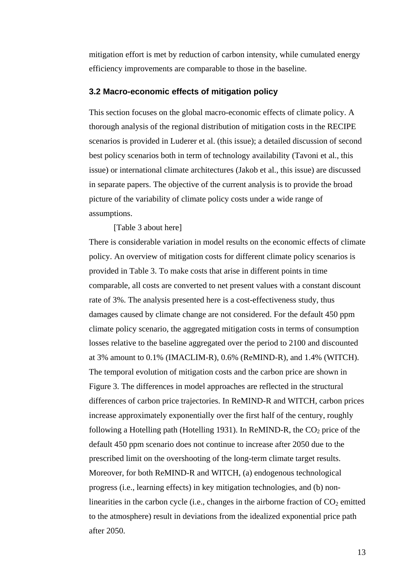mitigation effort is met by reduction of carbon intensity, while cumulated energy efficiency improvements are comparable to those in the baseline.

#### **3.2 Macro-economic effects of mitigation policy**

issue) or international climate architectures (Jakob et al., this issue) are discussed in separate papers. The objective of the current analysis is to provide the broad This section focuses on the global macro-economic effects of climate policy. A thorough analysis of the regional distribution of mitigation costs in the RECIPE scenarios is provided in Luderer et al. (this issue); a detailed discussion of second best policy scenarios both in term of technology availability (Tavoni et al., this picture of the variability of climate policy costs under a wide range of assumptions.

[Table 3 about here]

policy. An overview of mitigation costs for different climate policy scenarios is progress (i.e., learning effects) in key mitigation technologies, and (b) nonlinearities in the carbon cycle (i.e., changes in the airborne fraction of  $CO<sub>2</sub>$  emitted There is considerable variation in model results on the economic effects of climate provided in Table 3. To make costs that arise in different points in time comparable, all costs are converted to net present values with a constant discount rate of 3%. The analysis presented here is a cost-effectiveness study, thus damages caused by climate change are not considered. For the default 450 ppm climate policy scenario, the aggregated mitigation costs in terms of consumption losses relative to the baseline aggregated over the period to 2100 and discounted at 3% amount to 0.1% (IMACLIM-R), 0.6% (ReMIND-R), and 1.4% (WITCH). The temporal evolution of mitigation costs and the carbon price are shown in [Figure 3.](#page-38-0) The differences in model approaches are reflected in the structural differences of carbon price trajectories. In ReMIND-R and WITCH, carbon prices increase approximately exponentially over the first half of the century, roughly following a Hotelling path (Hotelling 1931). In ReMIND-R, the  $CO<sub>2</sub>$  price of the default 450 ppm scenario does not continue to increase after 2050 due to the prescribed limit on the overshooting of the long-term climate target results. Moreover, for both ReMIND-R and WITCH, (a) endogenous technological to the atmosphere) result in deviations from the idealized exponential price path after 2050.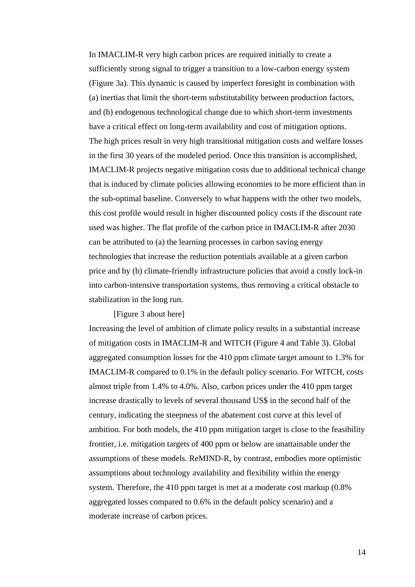that is induced by climate policies allowing economies to be more efficient than in the sub-optimal baseline. Conversely to what happens with the other two models, this cost profile would result in higher discounted policy costs if the discount rate technologies that increase the reduction potentials available at a given carbon price and by (b) climate-friendly infrastructure policies that avoid a costly lock-in In IMACLIM-R very high carbon prices are required initially to create a sufficiently strong signal to trigger a transition to a low-carbon energy system (Figure 3a). This dynamic is caused by imperfect foresight in combination with (a) inertias that limit the short-term substitutability between production factors, and (b) endogenous technological change due to which short-term investments have a critical effect on long-term availability and cost of mitigation options. The high prices result in very high transitional mitigation costs and welfare losses in the first 30 years of the modeled period. Once this transition is accomplished, IMACLIM-R projects negative mitigation costs due to additional technical change used was higher. The flat profile of the carbon price in IMACLIM-R after 2030 can be attributed to (a) the learning processes in carbon saving energy into carbon-intensive transportation systems, thus removing a critical obstacle to stabilization in the long run.

#### [Figure 3 about here]

aggregated consumption losses for the 410 ppm climate target amount to 1.3% for IMACLIM-R compared to 0.1% in the default policy scenario. For WITCH, costs ambition. For both models, the 410 ppm mitigation target is close to the feasibility assumptions of these models. ReMIND-R, by contrast, embodies more optimistic assumptions about technology availability and flexibility within the energy moderate increase of carbon prices. Increasing the level of ambition of climate policy results in a substantial increase of mitigation costs in IMACLIM-R and WITCH (Figure 4 and Table 3). Global almost triple from 1.4% to 4.0%. Also, carbon prices under the 410 ppm target increase drastically to levels of several thousand US\$ in the second half of the century, indicating the steepness of the abatement cost curve at this level of frontier, i.e. mitigation targets of 400 ppm or below are unattainable under the system. Therefore, the 410 ppm target is met at a moderate cost markup (0.8% aggregated losses compared to 0.6% in the default policy scenario) and a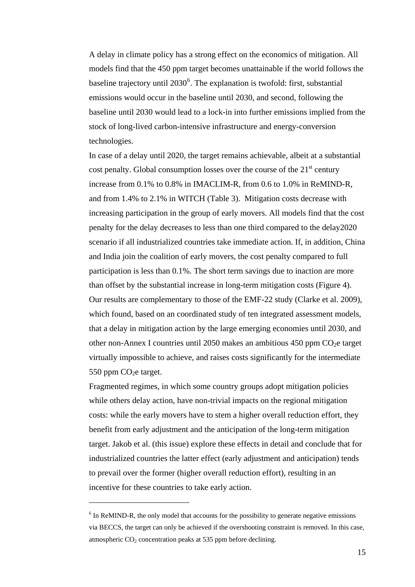A delay in climate policy has a strong effect on the economics of mitigation. All models find that the 450 ppm target becomes unattainable if the world follows the emissions would occur in the baseline until 2030, and second, following the baseline until 2030 would lead to a lock-in into further emissions implied from the baseline trajectory until  $2030^6$  $2030^6$ . The explanation is twofold: first, substantial stock of long-lived carbon-intensive infrastructure and energy-conversion technologies.

In case of a delay until 2020, the target remains achievable, albeit at a substantial penalty for the delay decreases to less than one third compared to the delay2020 scenario if all industrialized countries take immediate action. If, in addition, China other non-Annex I countries until 2050 makes an ambitious 450 ppm  $CO<sub>2</sub>e$  target virtually impossible to achieve, and raises costs significantly for the intermediate cost penalty. Global consumption losses over the course of the  $21<sup>st</sup>$  century increase from 0.1% to 0.8% in IMACLIM-R, from 0.6 to 1.0% in ReMIND-R, and from 1.4% to 2.1% in WITCH (Table 3). Mitigation costs decrease with increasing participation in the group of early movers. All models find that the cost and India join the coalition of early movers, the cost penalty compared to full participation is less than 0.1%. The short term savings due to inaction are more than offset by the substantial increase in long-term mitigation costs ([Figure 4](#page-35-1)). Our results are complementary to those of the EMF-22 study (Clarke et al. 2009), which found, based on an coordinated study of ten integrated assessment models, that a delay in mitigation action by the large emerging economies until 2030, and 550 ppm  $CO<sub>2</sub>e$  target.

target. Jakob et al. (this issue) explore these effects in detail and conclude that for industrialized countries the latter effect (early adjustment and anticipation) tends Fragmented regimes, in which some country groups adopt mitigation policies while others delay action, have non-trivial impacts on the regional mitigation costs: while the early movers have to stem a higher overall reduction effort, they benefit from early adjustment and the anticipation of the long-term mitigation to prevail over the former (higher overall reduction effort), resulting in an incentive for these countries to take early action.

 $\overline{a}$ 

<span id="page-15-0"></span> $6$  In ReMIND-R, the only model that accounts for the possibility to generate negative emissions via BECCS, the target can only be achieved if the overshooting constraint is removed. In this case, atmospheric CO<sub>2</sub> concentration peaks at 535 ppm before declining.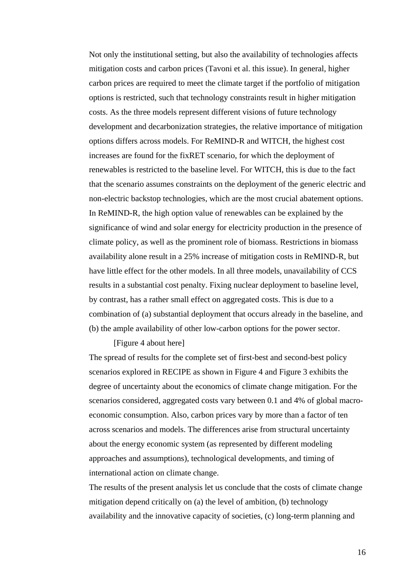carbon prices are required to meet the climate target if the portfolio of mitigation development and decarbonization strategies, the relative importance of mitigation that the scenario assumes constraints on the deployment of the generic electric and have little effect for the other models. In all three models, unavailability of CCS combination of (a) substantial deployment that occurs already in the baseline, and Not only the institutional setting, but also the availability of technologies affects mitigation costs and carbon prices (Tavoni et al. this issue). In general, higher options is restricted, such that technology constraints result in higher mitigation costs. As the three models represent different visions of future technology options differs across models. For ReMIND-R and WITCH, the highest cost increases are found for the fixRET scenario, for which the deployment of renewables is restricted to the baseline level. For WITCH, this is due to the fact non-electric backstop technologies, which are the most crucial abatement options. In ReMIND-R, the high option value of renewables can be explained by the significance of wind and solar energy for electricity production in the presence of climate policy, as well as the prominent role of biomass. Restrictions in biomass availability alone result in a 25% increase of mitigation costs in ReMIND-R, but results in a substantial cost penalty. Fixing nuclear deployment to baseline level, by contrast, has a rather small effect on aggregated costs. This is due to a (b) the ample availability of other low-carbon options for the power sector.

#### [Figure 4 about here]

degree of uncertainty about the economics of climate change mitigation. For the scenarios considered, aggregated costs vary between 0.1 and 4% of global macroeconomic consumption. Also, carbon prices vary by more than a factor of ten across scenarios and models. The differences arise from structural uncertainty about the energy economic system (as represented by different modeling The spread of results for the complete set of first-best and second-best policy scenarios explored in RECIPE as shown in Figure 4 and Figure 3 exhibits the approaches and assumptions), technological developments, and timing of international action on climate change.

The results of the present analysis let us conclude that the costs of climate change availability and the innovative capacity of societies, (c) long-term planning and mitigation depend critically on (a) the level of ambition, (b) technology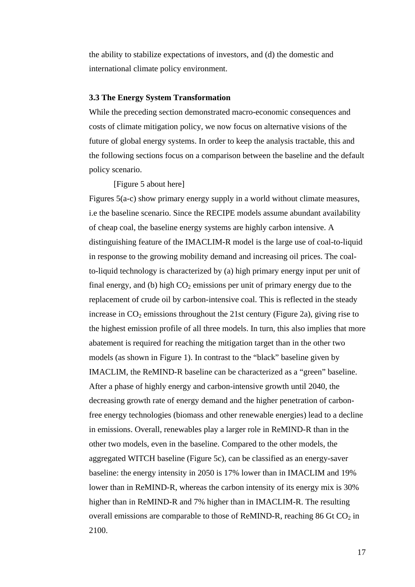the ability to stabilize expectations of investors, and (d) the domestic and international climate policy environment.

#### **3.3 The Energy System Transformation**

costs of climate mitigation policy, we now focus on alternative visions of the future of global energy systems. In order to keep the analysis tractable, this and While the preceding section demonstrated macro-economic consequences and the following sections focus on a comparison between the baseline and the default policy scenario.

[Figure 5 about here]

distinguishing feature of the IMACLIM-R model is the large use of coal-to-liquid replacement of crude oil by carbon-intensive coal. This is reflected in the steady increase in  $CO<sub>2</sub>$  emissions throughout the 21st century (Figure 2a), giving rise to decreasing growth rate of energy demand and the higher penetration of carbonfree energy technologies (biomass and other renewable energies) lead to a decline lower than in ReMIND-R, whereas the carbon intensity of its energy mix is 30% Figures 5(a-c) show primary energy supply in a world without climate measures, i.e the baseline scenario. Since the RECIPE models assume abundant availability of cheap coal, the baseline energy systems are highly carbon intensive. A in response to the growing mobility demand and increasing oil prices. The coalto-liquid technology is characterized by (a) high primary energy input per unit of final energy, and (b) high  $CO<sub>2</sub>$  emissions per unit of primary energy due to the the highest emission profile of all three models. In turn, this also implies that more abatement is required for reaching the mitigation target than in the other two models (as shown in Figure 1). In contrast to the "black" baseline given by IMACLIM, the ReMIND-R baseline can be characterized as a "green" baseline. After a phase of highly energy and carbon-intensive growth until 2040, the in emissions. Overall, renewables play a larger role in ReMIND-R than in the other two models, even in the baseline. Compared to the other models, the aggregated WITCH baseline (Figure 5c), can be classified as an energy-saver baseline: the energy intensity in 2050 is 17% lower than in IMACLIM and 19% higher than in ReMIND-R and 7% higher than in IMACLIM-R. The resulting overall emissions are comparable to those of ReMIND-R, reaching  $86 \text{ Gt CO}_2$  in 2100.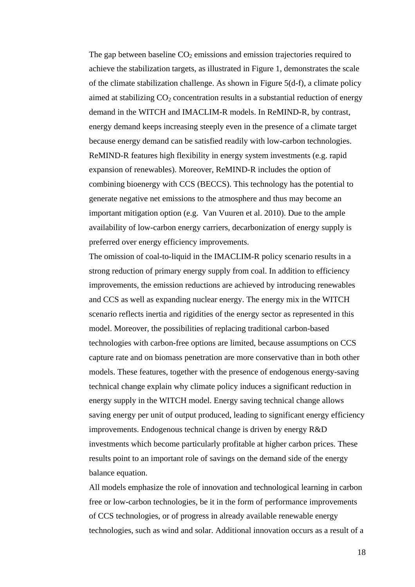achieve the stabilization targets, as illustrated in Figure 1, demonstrates the scale aimed at stabilizing  $CO_2$  concentration results in a substantial reduction of energy energy demand keeps increasing steeply even in the presence of a climate target generate negative net emissions to the atmosphere and thus may become an The gap between baseline  $CO<sub>2</sub>$  emissions and emission trajectories required to of the climate stabilization challenge. As shown in Figure 5(d-f), a climate policy demand in the WITCH and IMACLIM-R models. In ReMIND-R, by contrast, because energy demand can be satisfied readily with low-carbon technologies. ReMIND-R features high flexibility in energy system investments (e.g. rapid expansion of renewables). Moreover, ReMIND-R includes the option of combining bioenergy with CCS (BECCS). This technology has the potential to important mitigation option (e.g. Van Vuuren et al. 2010). Due to the ample availability of low-carbon energy carriers, decarbonization of energy supply is preferred over energy efficiency improvements.

improvements, the emission reductions are achieved by introducing renewables capture rate and on biomass penetration are more conservative than in both other saving energy per unit of output produced, leading to significant energy efficiency improvements. Endogenous technical change is driven by energy R&D The omission of coal-to-liquid in the IMACLIM-R policy scenario results in a strong reduction of primary energy supply from coal. In addition to efficiency and CCS as well as expanding nuclear energy. The energy mix in the WITCH scenario reflects inertia and rigidities of the energy sector as represented in this model. Moreover, the possibilities of replacing traditional carbon-based technologies with carbon-free options are limited, because assumptions on CCS models. These features, together with the presence of endogenous energy-saving technical change explain why climate policy induces a significant reduction in energy supply in the WITCH model. Energy saving technical change allows investments which become particularly profitable at higher carbon prices. These results point to an important role of savings on the demand side of the energy balance equation.

technologies, such as wind and solar. Additional innovation occurs as a result of a All models emphasize the role of innovation and technological learning in carbon free or low-carbon technologies, be it in the form of performance improvements of CCS technologies, or of progress in already available renewable energy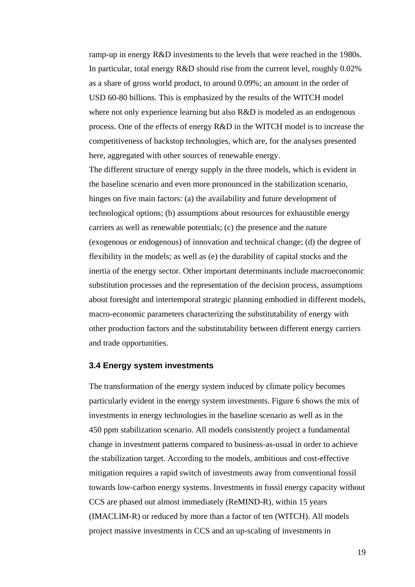ramp-up in energy R&D investments to the levels that were reached in the 1980s. where not only experience learning but also  $R&D$  is modeled as an endogenous process. One of the effects of energy R&D in the WITCH model is to increase the competitiveness of backstop technologies, which are, for the analyses presented In particular, total energy R&D should rise from the current level, roughly 0.02% as a share of gross world product, to around 0.09%; an amount in the order of USD 60-80 billions. This is emphasized by the results of the WITCH model here, aggregated with other sources of renewable energy.

the baseline scenario and even more pronounced in the stabilization scenario, inertia of the energy sector. Other important determinants include macroeconomic about foresight and intertemporal strategic planning embodied in different models, macro-economic parameters characterizing the substitutability of energy with other production factors and the substitutability between different energy carriers The different structure of energy supply in the three models, which is evident in hinges on five main factors: (a) the availability and future development of technological options; (b) assumptions about resources for exhaustible energy carriers as well as renewable potentials; (c) the presence and the nature (exogenous or endogenous) of innovation and technical change; (d) the degree of flexibility in the models; as well as (e) the durability of capital stocks and the substitution processes and the representation of the decision process, assumptions and trade opportunities.

#### **3.4 Energy system investments**

the stabilization target. According to the models, ambitious and cost-effective mitigation requires a rapid switch of investments away from conventional fossil towards low-carbon energy systems. Investments in fossil energy capacity without The transformation of the energy system induced by climate policy becomes particularly evident in the energy system investments. [Figure 6](#page-41-0) shows the mix of investments in energy technologies in the baseline scenario as well as in the 450 ppm stabilization scenario. All models consistently project a fundamental change in investment patterns compared to business-as-usual in order to achieve CCS are phased out almost immediately (ReMIND-R), within 15 years (IMACLIM-R) or reduced by more than a factor of ten (WITCH). All models project massive investments in CCS and an up-scaling of investments in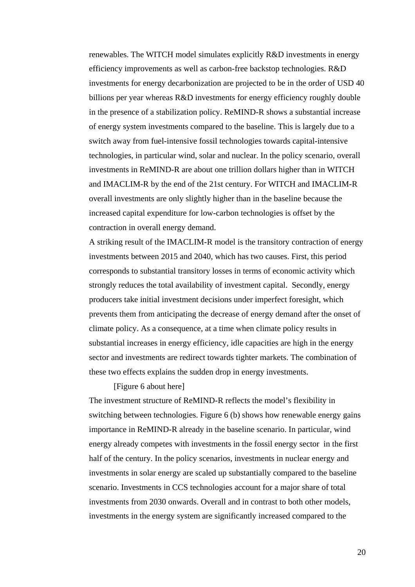investments for energy decarbonization are projected to be in the order of USD 40 billions per year whereas R&D investments for energy efficiency roughly double technologies, in particular wind, solar and nuclear. In the policy scenario, overall investments in ReMIND-R are about one trillion dollars higher than in WITCH and IMACLIM-R by the end of the 21st century. For WITCH and IMACLIM-R renewables. The WITCH model simulates explicitly R&D investments in energy efficiency improvements as well as carbon-free backstop technologies. R&D in the presence of a stabilization policy. ReMIND-R shows a substantial increase of energy system investments compared to the baseline. This is largely due to a switch away from fuel-intensive fossil technologies towards capital-intensive overall investments are only slightly higher than in the baseline because the increased capital expenditure for low-carbon technologies is offset by the contraction in overall energy demand.

A striking result of the IMACLIM-R model is the transitory contraction of energy strongly reduces the total availability of investment capital. Secondly, energy climate policy. As a consequence, at a time when climate policy results in substantial increases in energy efficiency, idle capacities are high in the energy sector and investments are redirect towards tighter markets. The combination of investments between 2015 and 2040, which has two causes. First, this period corresponds to substantial transitory losses in terms of economic activity which producers take initial investment decisions under imperfect foresight, which prevents them from anticipating the decrease of energy demand after the onset of these two effects explains the sudden drop in energy investments.

[Figure 6 about here]

switching between technologies. Figure 6 (b) shows how renewable energy gains energy already competes with investments in the fossil energy sector in the first investments in solar energy are scaled up substantially compared to the baseline investments from 2030 onwards. Overall and in contrast to both other models, investments in the energy system are significantly increased compared to the The investment structure of ReMIND-R reflects the model's flexibility in importance in ReMIND-R already in the baseline scenario. In particular, wind half of the century. In the policy scenarios, investments in nuclear energy and scenario. Investments in CCS technologies account for a major share of total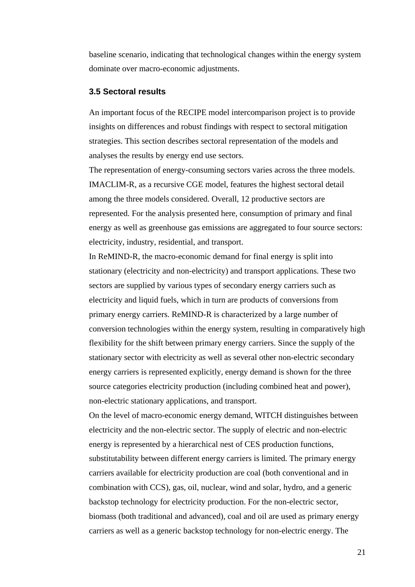baseline scenario, indicating that technological changes within the energy system dominate over macro-economic adjustments.

#### **3.5 Sectoral results**

An important focus of the RECIPE model intercomparison project is to provide insights on differences and robust findings with respect to sectoral mitigation strategies. This section describes sectoral representation of the models and analyses the results by energy end use sectors.

The representation of energy-consuming sectors varies across the three models. IMACLIM-R, as a recursive CGE model, features the highest sectoral detail among the three models considered. Overall, 12 productive sectors are represented. For the analysis presented here, consumption of primary and final energy as well as greenhouse gas emissions are aggregated to four source sectors: electricity, industry, residential, and transport.

In ReMIND-R, the macro-economic demand for final energy is split into stationary (electricity and non-electricity) and transport applications. These two sectors are supplied by various types of secondary energy carriers such as electricity and liquid fuels, which in turn are products of conversions from primary energy carriers. ReMIND-R is characterized by a large number of conversion technologies within the energy system, resulting in comparatively high flexibility for the shift between primary energy carriers. Since the supply of the stationary sector with electricity as well as several other non-electric secondary energy carriers is represented explicitly, energy demand is shown for the three source categories electricity production (including combined heat and power), non-electric stationary applications, and transport.

carriers as well as a generic backstop technology for non-electric energy. The On the level of macro-economic energy demand, WITCH distinguishes between electricity and the non-electric sector. The supply of electric and non-electric energy is represented by a hierarchical nest of CES production functions, substitutability between different energy carriers is limited. The primary energy carriers available for electricity production are coal (both conventional and in combination with CCS), gas, oil, nuclear, wind and solar, hydro, and a generic backstop technology for electricity production. For the non-electric sector, biomass (both traditional and advanced), coal and oil are used as primary energy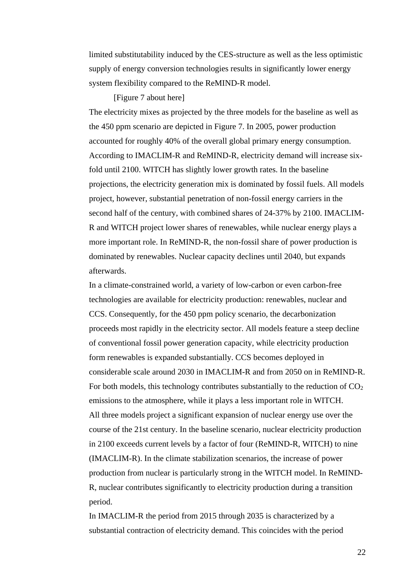limited substitutability induced by the CES-structure as well as the less optimistic supply of energy conversion technologies results in significantly lower energy system flexibility compared to the ReMIND-R model.

#### [Figure 7 about here]

According to IMACLIM-R and ReMIND-R, electricity demand will increase sixprojections, the electricity generation mix is dominated by fossil fuels. All models second half of the century, with combined shares of 24-37% by 2100. IMACLIM-R and WITCH project lower shares of renewables, while nuclear energy plays a more important role. In ReMIND-R, the non-fossil share of power production is The electricity mixes as projected by the three models for the baseline as well as the 450 ppm scenario are depicted in Figure 7. In 2005, power production accounted for roughly 40% of the overall global primary energy consumption. fold until 2100. WITCH has slightly lower growth rates. In the baseline project, however, substantial penetration of non-fossil energy carriers in the dominated by renewables. Nuclear capacity declines until 2040, but expands afterwards.

CCS. Consequently, for the 450 ppm policy scenario, the decarbonization considerable scale around 2030 in IMACLIM-R and from 2050 on in ReMIND-R. All three models project a significant expansion of nuclear energy use over the (IMACLIM-R). In the climate stabilization scenarios, the increase of power production from nuclear is particularly strong in the WITCH model. In ReMIND-R, nuclear contributes significantly to electricity production during a transition In a climate-constrained world, a variety of low-carbon or even carbon-free technologies are available for electricity production: renewables, nuclear and proceeds most rapidly in the electricity sector. All models feature a steep decline of conventional fossil power generation capacity, while electricity production form renewables is expanded substantially. CCS becomes deployed in For both models, this technology contributes substantially to the reduction of  $CO<sub>2</sub>$ emissions to the atmosphere, while it plays a less important role in WITCH. course of the 21st century. In the baseline scenario, nuclear electricity production in 2100 exceeds current levels by a factor of four (ReMIND-R, WITCH) to nine period.

In IMACLIM-R the period from 2015 through 2035 is characterized by a substantial contraction of electricity demand. This coincides with the period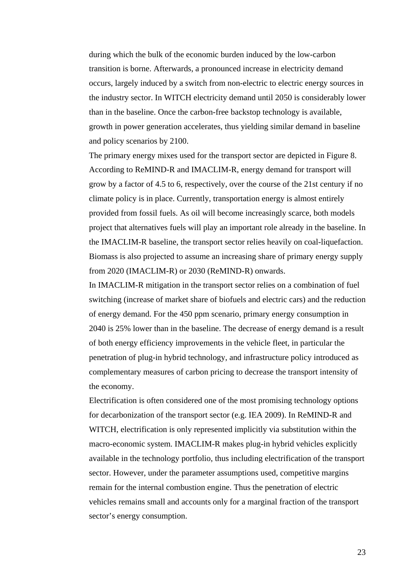the industry sector. In WITCH electricity demand until 2050 is considerably lower growth in power generation accelerates, thus yielding similar demand in baseline during which the bulk of the economic burden induced by the low-carbon transition is borne. Afterwards, a pronounced increase in electricity demand occurs, largely induced by a switch from non-electric to electric energy sources in than in the baseline. Once the carbon-free backstop technology is available, and policy scenarios by 2100.

The primary energy mixes used for the transport sector are depicted in [Figure](#page-44-0) 8. [project that alternatives fuels will play an important role alre](#page-44-0)ady in the baseline. In [According to ReMIND-R and IMACLIM-R, energy demand for transport will](#page-44-0)  [grow by a factor of 4.5 to 6, respectively, over the course of the 21st century if no](#page-44-0)  [climate policy is in place. Currently, transportation energy is almost entirely](#page-44-0)  [provided from fossil fuels. As oil will become increasingly scarce, both models](#page-44-0)  the IMACLIM-R baseline, the transport sector relies heavily on coal-liquefaction. Biomass is also projected to assume an increasing share of primary energy supply from 2020 (IMACLIM-R) or 2030 (ReMIND-R) onwards.

switching (increase of market share of biofuels and electric cars) and the reduction 2040 is 25% lower than in the baseline. The decrease of energy demand is a result of both energy efficiency improvements in the vehicle fleet, in particular the In IMACLIM-R mitigation in the transport sector relies on a combination of fuel of energy demand. For the 450 ppm scenario, primary energy consumption in penetration of plug-in hybrid technology, and infrastructure policy introduced as complementary measures of carbon pricing to decrease the transport intensity of the economy.

WITCH, electrification is only represented implicitly via substitution within the macro-economic system. IMACLIM-R makes plug-in hybrid vehicles explicitly available in the technology portfolio, thus including electrification of the transport sector. However, under the parameter assumptions used, competitive margins vehicles remains small and accounts only for a marginal fraction of the transport Electrification is often considered one of the most promising technology options for decarbonization of the transport sector (e.g. IEA 2009). In ReMIND-R and remain for the internal combustion engine. Thus the penetration of electric sector's energy consumption.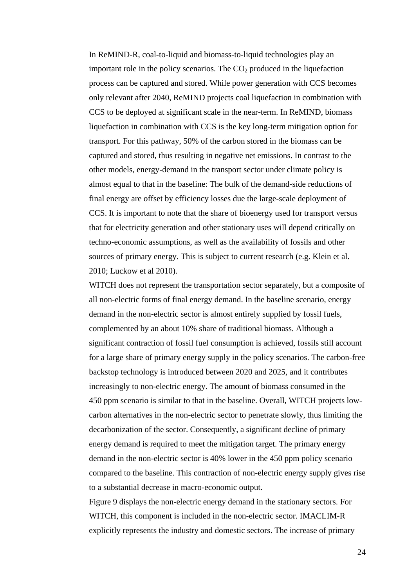process can be captured and stored. While power generation with CCS becomes only relevant after 2040, ReMIND projects coal liquefaction in combination with CCS to be deployed at significant scale in the near-term. In ReMIND, biomass almost equal to that in the baseline: The bulk of the demand-side reductions of CCS. It is important to note that the share of bioenergy used for transport versus sources of primary energy. This is subject to current research (e.g. Klein et al. In ReMIND-R, coal-to-liquid and biomass-to-liquid technologies play an important role in the policy scenarios. The  $CO<sub>2</sub>$  produced in the liquefaction liquefaction in combination with CCS is the key long-term mitigation option for transport. For this pathway, 50% of the carbon stored in the biomass can be captured and stored, thus resulting in negative net emissions. In contrast to the other models, energy-demand in the transport sector under climate policy is final energy are offset by efficiency losses due the large-scale deployment of that for electricity generation and other stationary uses will depend critically on techno-economic assumptions, as well as the availability of fossils and other 2010; Luckow et al 2010).

- 450 ppm scenario is similar to that in the baseline. Overall, WITCH projects low decarbonization of the sector. Consequently, a significant decline of primary compared to the baseline. This contraction of non-electric energy supply gives rise WITCH does not represent the transportation sector separately, but a composite of all non-electric forms of final energy demand. In the baseline scenario, energy demand in the non-electric sector is almost entirely supplied by fossil fuels, complemented by an about 10% share of traditional biomass. Although a significant contraction of fossil fuel consumption is achieved, fossils still account for a large share of primary energy supply in the policy scenarios. The carbon-free backstop technology is introduced between 2020 and 2025, and it contributes increasingly to non-electric energy. The amount of biomass consumed in the carbon alternatives in the non-electric sector to penetrate slowly, thus limiting the energy demand is required to meet the mitigation target. The primary energy demand in the non-electric sector is 40% lower in the 450 ppm policy scenario to a substantial decrease in macro-economic output.

explicitly represents the industry and domestic sectors. The increase of primary Figure 9 displays the non-electric energy demand in the stationary sectors. For WITCH, this component is included in the non-electric sector. IMACLIM-R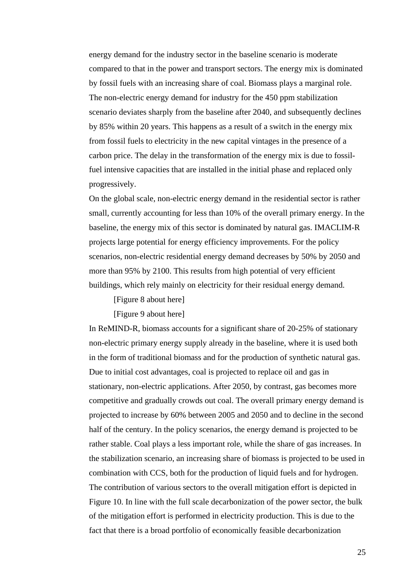compared to that in the power and transport sectors. The energy mix is dominated . by fossil fuels with an increasing share of coal. Biomass plays a marginal role scenario deviates sharply from the baseline after 2040, and subsequently declines by 85% within 20 years. This happens as a result of a switch in the energy mix energy demand for the industry sector in the baseline scenario is moderate The non-electric energy demand for industry for the 450 ppm stabilization from fossil fuels to electricity in the new capital vintages in the presence of a carbon price. The delay in the transformation of the energy mix is due to fossilfuel intensive capacities that are installed in the initial phase and replaced only progressively.

small, currently accounting for less than 10% of the overall primary energy. In the baseline, the energy mix of this sector is dominated by natural gas. IMACLIM-R projects large potential for energy efficiency improvements. For the policy scenarios, non-electric residential energy demand decreases by 50% by 2050 and On the global scale, non-electric energy demand in the residential sector is rather more than 95% by 2100. This results from high potential of very efficient buildings, which rely mainly on electricity for their residual energy demand.

[Figure 8 about here]

[Figure 9 about here]

the stabilization scenario, an increasing share of biomass is projected to be used in combination with CCS, both for the production of liquid fuels and for hydrogen. Figure 10. In line with the full scale decarbonization of the power sector, the bulk In ReMIND-R, biomass accounts for a significant share of 20-25% of stationary non-electric primary energy supply already in the baseline, where it is used both in the form of traditional biomass and for the production of synthetic natural gas. Due to initial cost advantages, coal is projected to replace oil and gas in stationary, non-electric applications. After 2050, by contrast, gas becomes more competitive and gradually crowds out coal. The overall primary energy demand is projected to increase by 60% between 2005 and 2050 and to decline in the second half of the century. In the policy scenarios, the energy demand is projected to be rather stable. Coal plays a less important role, while the share of gas increases. In The contribution of various sectors to the overall mitigation effort is depicted in of the mitigation effort is performed in electricity production. This is due to the fact that there is a broad portfolio of economically feasible decarbonization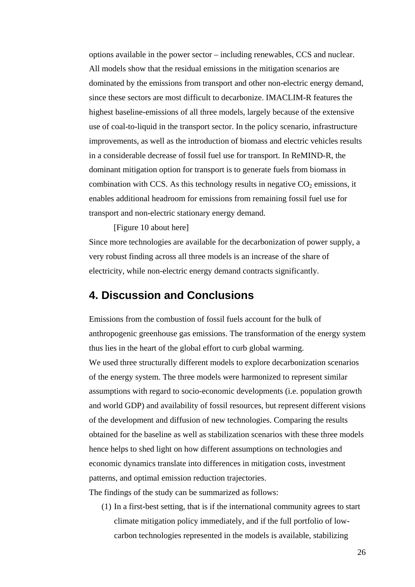highest baseline-emissions of all three models, largely because of the extensive improvements, as well as the introduction of biomass and electric vehicles results in a considerable decrease of fossil fuel use for transport. In ReMIND-R, the dominant mitigation option for transport is to generate fuels from biomass in enables additional headroom for emissions from remaining fossil fuel use for options available in the power sector – including renewables, CCS and nuclear. All models show that the residual emissions in the mitigation scenarios are dominated by the emissions from transport and other non-electric energy demand, since these sectors are most difficult to decarbonize. IMACLIM-R features the use of coal-to-liquid in the transport sector. In the policy scenario, infrastructure combination with CCS. As this technology results in negative  $CO<sub>2</sub>$  emissions, it transport and non-electric stationary energy demand.

[Figure 10 about here]

Since more technologies are available for the decarbonization of power supply, a very robust finding across all three models is an increase of the share of electricity, while non-electric energy demand contracts significantly.

### **4. Discussion and Conclusions**

We used three structurally different models to explore decarbonization scenarios assumptions with regard to socio-economic developments (i.e. population growth and world GDP) and availability of fossil resources, but represent different visions of the development and diffusion of new technologies. Comparing the results obtained for the baseline as well as stabilization scenarios with these three models hen ce helps to shed light on how different assumptions on technologies and econom ic dynamics translate into differences in mitigation costs, investment pattern s, and optimal emission reduction trajectories. Emissions from the combustion of fossil fuels account for the bulk of anthropogenic greenhouse gas emissions. The transformation of the energy system thus lies in the heart of the global effort to curb global warming. of the energy system. The three models were harmonized to represent similar

The fin dings of the study can be summarized as follows:

 $(1)$  In a first-best setting, that is if the international community agrees to start climate mitigation policy immediately, and if the full portfolio of lowcarbon technologies represented in the models is available, stabilizing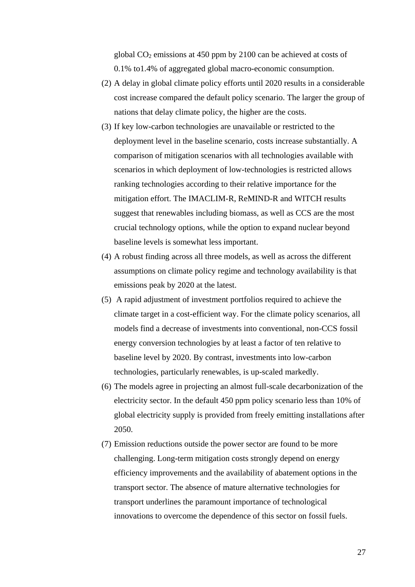global  $CO<sub>2</sub>$  emissions at 450 ppm by 2100 can be achieved at costs of 0.1% to1.4% of aggregated global macro-economic consumption.

- (2) A delay in global climate policy efforts until 2020 results in a considerable cost increase compared the default policy scenario. The larger the group of nations that delay climate policy, the higher are the costs.
- (3) If key low-carbon technologies are unavailable or restricted to the comparison of mitigation scenarios with all technologies available with suggest that renewables including biomass, as well as CCS are the most deployment level in the baseline scenario, costs increase substantially. A scenarios in which deployment of low-technologies is restricted allows ranking technologies according to their relative importance for the mitigation effort. The IMACLIM-R, ReMIND-R and WITCH results crucial technology options, while the option to expand nuclear beyond baseline levels is somewhat less important.
- $(4)$  A robust finding across all three models, as well as across the different assumptions on climate policy regime and technology availability is that emissions peak by 2020 at the latest.
- (5) A rapid adjustment of investment portfolios required to achieve the climate target in a cost-efficient way. For the climate policy scenarios, all models find a decrease of investments into conventional, non-CCS fossil energy conversion technologies by at least a factor of ten relative to baseline level by 2020. By contrast, investments into low-carbon technologies, particularly renewables, is up-scaled markedly.
- (6) The models agree in projecting an almost full-scale decarbonization of the electricity sector. In the default 450 ppm policy scenario less than 10% of global electricity supply is provided from freely emitting installations after 2050.
- (7) Emission reductions outside the power sector are found to be more efficiency improvements and the availability of abatement options in the challenging. Long-term mitigation costs strongly depend on energy transport sector. The absence of mature alternative technologies for transport underlines the paramount importance of technological innovations to overcome the dependence of this sector on fossil fuels.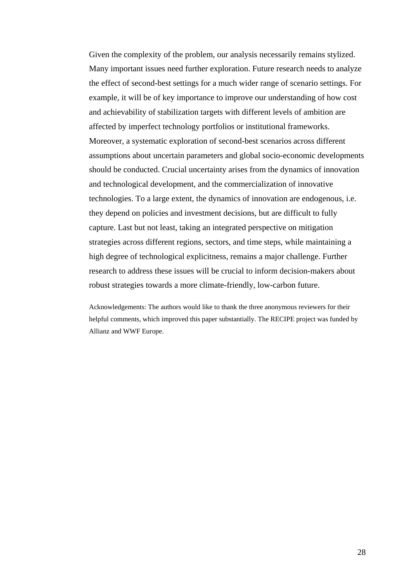Many important issues need further exploration. Future research needs to analyze the effect of second-best settings for a much wider range of scenario settings. For example, it will be of key importance to improve our understanding of how cost Moreover, a systematic exploration of second-best scenarios across different assumptions about uncertain parameters and global socio-economic developments should be conducted. Crucial uncertainty arises from the dynamics of innovation strategies across different regions, sectors, and time steps, while maintaining a high degree of technological explicitness, remains a major challenge. Further robust strategies towards a more climate-friendly, low-carbon future. Given the complexity of the problem, our analysis necessarily remains stylized. and achievability of stabilization targets with different levels of ambition are affected by imperfect technology portfolios or institutional frameworks. and technological development, and the commercialization of innovative technologies. To a large extent, the dynamics of innovation are endogenous, i.e. they depend on policies and investment decisions, but are difficult to fully capture. Last but not least, taking an integrated perspective on mitigation research to address these issues will be crucial to inform decision-makers about

Acknowledgements: The authors would like to thank the three anonymous reviewers for their helpful comments, which improved this paper substantially. The RECIPE project was funded by Allianz and WWF Europe.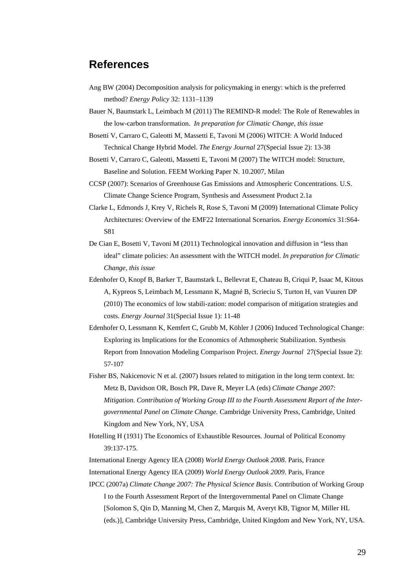### **References**

- Ang BW (2004) Decomposition analysis for policymaking in energy: which is the preferred method? *Energy Policy* 32: 1131–1139
- Bauer N, Baumstark L, Leimbach M (2011) The REMIND-R model: The Role of Renewables in the low-carbon transformation. *In preparation for Climatic Change, this issue*
- Bosetti V, Carraro C, Galeotti M, Massetti E, Tavoni M (2006) WITCH: A World Induced Technical Change Hybrid Model. *The Energy Journal* 27(Special Issue 2): 13-38
- Bosetti V, Carraro C, Galeotti, Massetti E, Tavoni M (2007) The WITCH model: Structure, Baseline and Solution. FEEM Working Paper N. 10.2007, Milan
- CCSP (2007): Scenarios of Greenhouse Gas Emissions and Atmospheric Concentrations. U.S. Climate Change Science Program, Synthesis and Assessment Product 2.1a
- Clarke L, Edmonds J, Krey V, Richels R, Rose S, Tavoni M (2009) International Climate Policy Architectures: Overview of the EMF22 International Scenarios. *Energy Economics* 31:S64- S81
- De Cian E, Bosetti V, Tavoni M (2011) Technological innovation and diffusion in "less than ideal" climate policies: An assessment with the WITCH model. *In preparation for Climatic Change, this issue*
- Edenhofer O, Knopf B, Barker T, Baumstark L, Bellevrat E, Chateau B, Criqui P, Isaac M, Kitous A, Kypreos S, Leimbach M, Lessmann K, Magné B, Scrieciu S, Turton H, van Vuuren DP (2010) The economics of low stabili-zation: model comparison of mitigation strategies and costs. *Energy Journal* 31(Special Issue 1): 11-48
- Edenhofer O, Lessmann K, Kemfert C, Grubb M, Köhler J (2006) Induced Technological Change: Exploring its Implications for the Economics of Athmospheric Stabilization. Synthesis Report from Innovation Modeling Comparison Project. *Energy Journal* 27(Special Issue 2): 57-107
- Fisher BS, Nakicenovic N et al. (2007) Issues related to mitigation in the long term context. In: Metz B, Davidson OR, Bosch PR, Dave R, Meyer LA (eds) *Climate Change 2007: Mitigation. Contribution of Working Group III to the Fourth Assessment Report of the Intergovernmental Panel on Climate Change.* Cambridge University Press, Cambridge, United Kingdom and New York, NY, USA
- Hotelling H (1931) The Economics of Exhaustible Resources. Journal of Political Economy 39:137-175.
- International Energy Agency IEA (2008) *World Energy Outlook 2008*. Paris, France
- International Energy Agency IEA (2009) *World Energy Outlook 2009*. Paris, France
- IPCC (2007a) *Climate Change 2007: The Physical Science Basis*. Contribution of Working Group I to the Fourth Assessment Report of the Intergovernmental Panel on Climate Change [Solomon S, Qin D, Manning M, Chen Z, Marquis M, Averyt KB, Tignor M, Miller HL (eds.)], Cambridge University Press, Cambridge, United Kingdom and New York, NY, USA.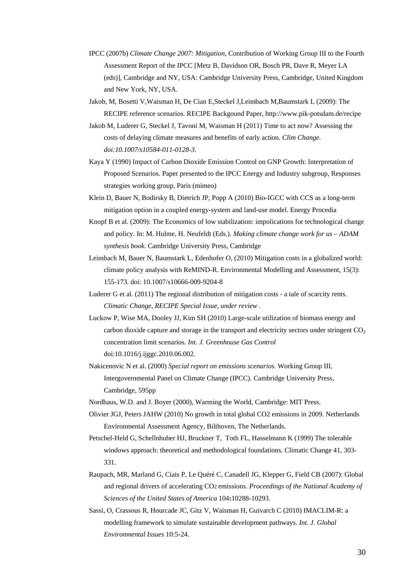- IPCC (2007b) *Climate Change 2007: Mitigation*, Contribution of Working Group III to the Fourth Assessment Report of the IPCC [Metz B, Davidson OR, Bosch PR, Dave R, Meyer LA (eds)], Cambridge and NY, USA: Cambridge University Press, Cambridge, United Kingdom and New York, NY, USA.
- Jakob, M, Bosetti V,Waisman H, De Cian E,Steckel J,Leimbach M,Baumstark L (2009): The RECIPE reference scenarios. RECIPE Backgound Paper, http://www.pik-potsdam.de/recipe
- Jakob M, Luderer G, Steckel J, Tavoni M, Waisman H (2011) Time to act now? Assessing the costs of delaying climate measures and benefits of early action. *Clim Change. doi:10.1007/s10584-011-0128-3.*
- Kaya Y (1990) Impact of Carbon Dioxide Emission Control on GNP Growth: Interpretation of Proposed Scenarios. Paper presented to the IPCC Energy and Industry subgroup, Responses strategies working group, Paris (mimeo)
- Klein D, Bauer N, Bodirsky B, Dietrich JP, Popp A (2010) Bio-IGCC with CCS as a long-term mitigation option in a coupled energy-system and land-use model. Energy Procedia
- Knopf B et al. (2009): The Economics of low stabilization: impolications for technological change and policy. In: M. Hulme, H. Neufeldt (Eds.). *Making climate change work for us – ADAM synthesis book.* Cambridge University Press, Cambridge
- Leimbach M, Bauer N, Baumstark L, Edenhofer O, (2010) Mitigation costs in a globalized world: climate policy analysis with ReMIND-R. Environmental Modelling and Assessment, 15(3): 155-173. doi: 10.1007/s10666-009-9204-8
- Luderer G et al. (2011) The regional distribution of mitigation costs a tale of scarcity rents. *Climatic Change, RECIPE Special Issue, under review .*
- Luckow P, Wise MA, Dooley JJ, Kim SH (2010) Large-scale utilization of biomass energy and carbon dioxide capture and storage in the transport and electricity sectors under stringent  $CO<sub>2</sub>$ concentration limit scenarios*. Int. J. Greenhouse Gas Control* doi:10.1016/j.ijggc.2010.06.002.
- Nakicenovic N et al. (2000) *Special report on emissions scenarios*. Working Group III, Intergovernmental Panel on Climate Change (IPCC). Cambridge University Press, Cambridge, 595pp
- Nordhaus, W.D. and J. Boyer (2000), Warming the World, Cambridge: MIT Press.
- Olivier JGJ, Peters JAHW (2010) No growth in total global CO2 emissions in 2009. Netherlands Environmental Assessment Agency, Bilthoven, The Netherlands.
- Petschel-Held G, Schellnhuber HJ, Bruckner T, Toth FL, Hasselmann K (1999) The tolerable windows approach: theoretical and methodological foundations. Climatic Change 41, 303- 331.
- Raupach, MR, Marland G, Ciais P, Le Quéré C, Canadell JG, Klepper G, Field CB (2007): Global and regional drivers of accelerating CO2 emissions. *Proceedings of the National Academy of Sciences of the United States of America* 104**:**10288-10293.
- Sassi, O, Crassous R, Hourcade JC, Gitz V, Waisman H, Guivarch C (2010) IMACLIM-R: a modelling framework to simulate sustainable development pathways. *Int. J. Global Environmental Issues* 10:5-24.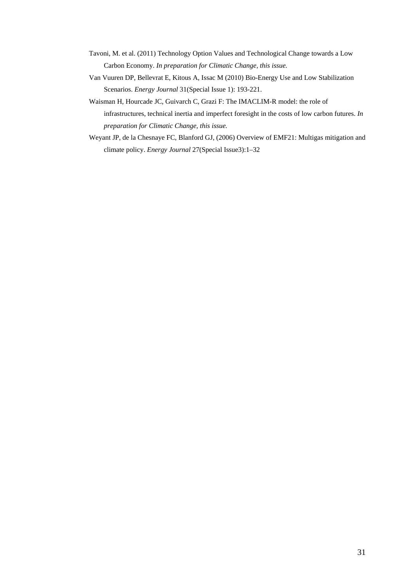- Tavoni, M. et al. (2011) Technology Option Values and Technological Change towards a Low Carbon Economy. *In preparation for Climatic Change, this issue.*
- Van Vuuren DP, Bellevrat E, Kitous A, Issac M (2010) Bio-Energy Use and Low Stabilization Scenarios. *Energy Journal* 31(Special Issue 1): 193-221.
- Waisman H, Hourcade JC, Guivarch C, Grazi F: The IMACLIM-R model: the role of infrastructures, technical inertia and imperfect foresight in the costs of low carbon futures. *In preparation for Climatic Change, this issue.*
- Weyant JP, de la Chesnaye FC, Blanford GJ, (2006) Overview of EMF21: Multigas mitigation and climate policy. *Energy Journal* 27(Special Issue3):1–32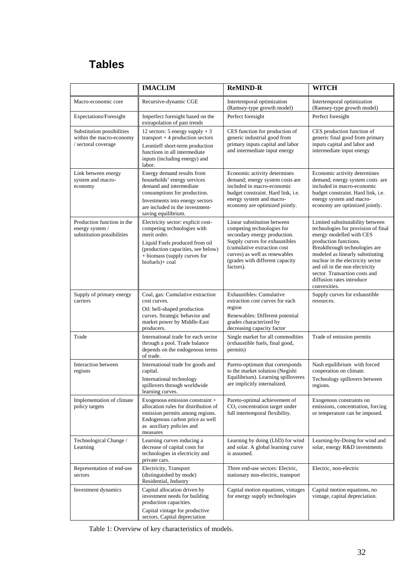## **Tables**

|                                                                               | <b>IMACLIM</b>                                                                                                                                                                                                    | <b>ReMIND-R</b>                                                                                                                                                                                                                              | <b>WITCH</b>                                                                                                                                                                                                                                                                                                                                           |
|-------------------------------------------------------------------------------|-------------------------------------------------------------------------------------------------------------------------------------------------------------------------------------------------------------------|----------------------------------------------------------------------------------------------------------------------------------------------------------------------------------------------------------------------------------------------|--------------------------------------------------------------------------------------------------------------------------------------------------------------------------------------------------------------------------------------------------------------------------------------------------------------------------------------------------------|
| Macro-economic core                                                           | Recursive-dynamic CGE                                                                                                                                                                                             | Intertemporal optimization<br>(Ramsey-type growth model)                                                                                                                                                                                     | Intertemporal optimization<br>(Ramsey-type growth model)                                                                                                                                                                                                                                                                                               |
| Expectations/Foresight                                                        | Imperfect foresight based on the<br>extrapolation of past trends                                                                                                                                                  | Perfect foresight                                                                                                                                                                                                                            | Perfect foresight                                                                                                                                                                                                                                                                                                                                      |
| Substitution possibilities<br>within the macro-economy<br>/ sectoral coverage | 12 sectors: 5 energy supply $+3$<br>transport $+4$ production sectors<br>Leontieff short-term production<br>functions in all intermediate<br>inputs (including energy) and<br>labor.                              | CES function for production of<br>generic industrial good from<br>primary inputs capital and labor<br>and intermediate input energy                                                                                                          | CES production function of<br>generic final good from primary<br>inputs capital and labor and<br>intermediate input energy                                                                                                                                                                                                                             |
| Link between energy<br>system and macro-<br>economy                           | Energy demand results from<br>households' energy services<br>demand and intermediate<br>consumptions for production.<br>Investments into energy sectors<br>are included in the investment-<br>saving equilibrium. | Economic activity determines<br>demand; energy system costs are<br>included in macro-economic<br>budget constraint. Hard link, i.e.<br>energy system and macro-<br>economy are optimized jointly.                                            | Economic activity determines<br>demand; energy system costs are<br>included in macro-economic<br>budget constraint. Hard link, i.e.<br>energy system and macro-<br>economy are optimized jointly.                                                                                                                                                      |
| Production function in the<br>energy system /<br>substitution possibilities   | Electricity sector: explicit cost-<br>competing technologies with<br>merit order.<br>Liquid Fuels produced from oil<br>(production capacities, see below)<br>+ biomass (supply curves for<br>biofuels)+ coal      | Linear substitution between<br>competing technologies for<br>secondary energy production.<br>Supply curves for exhaustibles<br>(cumulative extraction cost)<br>curves) as well as renewables<br>(grades with different capacity<br>factors). | Limited substitutability between<br>technologies for provision of final<br>energy modelled with CES<br>production functions.<br>Breakthrough technologies are<br>modeled as linearly substituting<br>nuclear in the electricity sector<br>and oil in the non electricity<br>sector. Transaction costs and<br>diffusion rates introduce<br>convexities. |
| Supply of primary energy<br>carriers                                          | Coal, gas: Cumulative extraction<br>cost curves.<br>Oil: bell-shaped production<br>curves. Strategic behavior and<br>market power by Middle-East<br>producers.                                                    | Exhaustibles: Cumulative<br>extraction cost curves for each<br>region<br>Renewables: Different potential<br>grades characterized by<br>decreasing capacity factor                                                                            | Supply curves for exhaustible<br>resources.                                                                                                                                                                                                                                                                                                            |
| Trade                                                                         | International trade for each sector<br>through a pool. Trade balance<br>depends on the endogenous terms<br>of trade.                                                                                              | Single market for all commodities<br>(exhaustible fuels, final good,<br>permits)                                                                                                                                                             | Trade of emission permits                                                                                                                                                                                                                                                                                                                              |
| Interaction between<br>regions                                                | International trade for goods and<br>capital.<br>International technology<br>spillovers through worldwide<br>learning curves.                                                                                     | Pareto-optimum that corresponds<br>to the market solution (Negishi<br>Equilibrium). Learning spilloveres<br>are implicitly internalized.                                                                                                     | Nash equilibrium with forced<br>cooperation on climate.<br>Technology spillovers between<br>regions.                                                                                                                                                                                                                                                   |
| Implementation of climate<br>policy targets                                   | Exogenous emission constraint +<br>allocation rules for distribution of<br>emission permits among regions.<br>Endogenous carbon price as well<br>as auxiliary policies and<br>measures                            | Pareto-optimal achievement of<br>$CO2$ concentration target under<br>full intertemporal flexibility.                                                                                                                                         | Exogenous constraints on<br>emissions, concentration, forcing<br>or temperature can be imposed.                                                                                                                                                                                                                                                        |
| Technological Change /<br>Learning                                            | Learning curves inducing a<br>decrease of capital costs for<br>technologies in electricity and<br>private cars.                                                                                                   | Learning by doing (LbD) for wind<br>and solar. A global learning curve<br>is assumed.                                                                                                                                                        | Learning-by-Doing for wind and<br>solar, energy R&D investments                                                                                                                                                                                                                                                                                        |
| Representation of end-use<br>sectors                                          | Electricity, Transport<br>(distinguished by mode)<br>Residential, Industry                                                                                                                                        | Three end-use sectors: Electric,<br>stationary non-electric, transport                                                                                                                                                                       | Electric, non-electric                                                                                                                                                                                                                                                                                                                                 |
| Investment dynamics                                                           | Capital allocation driven by<br>investment needs for building<br>production capacities.<br>Capital vintage for productive<br>sectors. Capital depreciation                                                        | Capital motion equations, vintages<br>for energy supply technologies                                                                                                                                                                         | Capital motion equations, no<br>vintage, capital depreciation.                                                                                                                                                                                                                                                                                         |

<span id="page-32-0"></span>Table 1: Overview of key characteristics of models.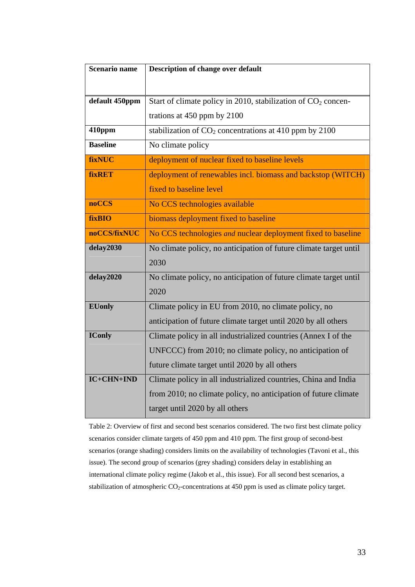| <b>Scenario name</b> | Description of change over default                                        |  |  |
|----------------------|---------------------------------------------------------------------------|--|--|
|                      |                                                                           |  |  |
| default 450ppm       | Start of climate policy in 2010, stabilization of CO <sub>2</sub> concen- |  |  |
|                      | trations at 450 ppm by 2100                                               |  |  |
|                      |                                                                           |  |  |
| 410ppm               | stabilization of $CO2$ concentrations at 410 ppm by 2100                  |  |  |
| <b>Baseline</b>      | No climate policy                                                         |  |  |
| fixNUC               | deployment of nuclear fixed to baseline levels                            |  |  |
| <b>fixRET</b>        | deployment of renewables incl. biomass and backstop (WITCH)               |  |  |
|                      | fixed to baseline level                                                   |  |  |
| <b>noCCS</b>         | No CCS technologies available                                             |  |  |
| fixBIO               | biomass deployment fixed to baseline                                      |  |  |
| noCCS/fixNUC         | No CCS technologies and nuclear deployment fixed to baseline              |  |  |
| delay2030            | No climate policy, no anticipation of future climate target until         |  |  |
|                      | 2030                                                                      |  |  |
| delay2020            | No climate policy, no anticipation of future climate target until         |  |  |
|                      | 2020                                                                      |  |  |
| <b>EUonly</b>        | Climate policy in EU from 2010, no climate policy, no                     |  |  |
|                      | anticipation of future climate target until 2020 by all others            |  |  |
| <b>IConly</b>        | Climate policy in all industrialized countries (Annex I of the            |  |  |
|                      | UNFCCC) from 2010; no climate policy, no anticipation of                  |  |  |
|                      | future climate target until 2020 by all others                            |  |  |
| IC+CHN+IND           | Climate policy in all industrialized countries, China and India           |  |  |
|                      | from 2010; no climate policy, no anticipation of future climate           |  |  |
|                      | target until 2020 by all others                                           |  |  |
|                      |                                                                           |  |  |

<span id="page-33-0"></span>Table 2: Overview of first and second best scenarios considered. The two first best climate policy scenarios consider climate targets of 450 ppm and 410 ppm. The first group of second-best scenarios (orange shading) considers limits on the availability of technologies (Tavoni et al., this issue). The second group of scenarios (grey shading) considers delay in establishing an international climate policy regime (Jakob et al., this issue). For all second best scenarios, a stabilization of atmospheric  $CO_2$ -concentrations at 450 ppm is used as climate policy target.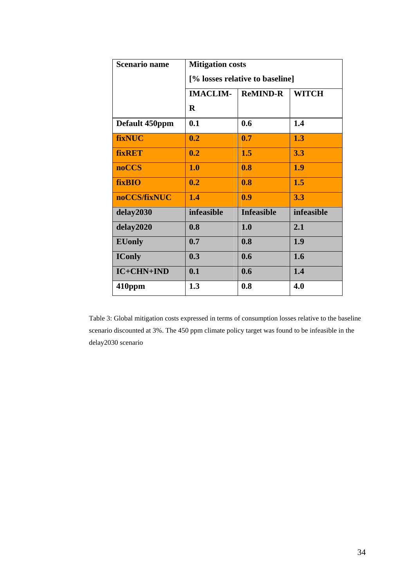| <b>Scenario name</b> | <b>Mitigation costs</b>         |                   |              |  |  |
|----------------------|---------------------------------|-------------------|--------------|--|--|
|                      | [% losses relative to baseline] |                   |              |  |  |
|                      | <b>IMACLIM-</b>                 | <b>ReMIND-R</b>   | <b>WITCH</b> |  |  |
|                      | $\bf{R}$                        |                   |              |  |  |
| Default 450ppm       | 0.1                             | 0.6               | 1.4          |  |  |
| fixNUC               | 0.2                             | 0.7               | 1.3          |  |  |
| <b>fixRET</b>        | 0.2                             | 1.5               | 3.3          |  |  |
| <b>noCCS</b>         | 1.0                             | 0.8               | 1.9          |  |  |
| <b>fixBIO</b>        | 0.2                             | 0.8               | 1.5          |  |  |
| noCCS/fixNUC         | 1.4                             | 0.9               | 3.3          |  |  |
| delay2030            | infeasible                      | <b>Infeasible</b> | infeasible   |  |  |
| delay2020            | 0.8                             | 1.0               | 2.1          |  |  |
| <b>EUonly</b>        | 0.7                             | 0.8               | 1.9          |  |  |
| <b>IConly</b>        | 0.3                             | 0.6               | 1.6          |  |  |
| IC+CHN+IND           | 0.1                             | 0.6               | 1.4          |  |  |
| 410ppm               | 1.3                             | 0.8               | 4.0          |  |  |

Table 3: Global mitigation costs expressed in terms of consumption losses relative to the baseline scenario discounted at 3%. The 450 ppm climate policy target was found to be infeasible in the delay2030 scenario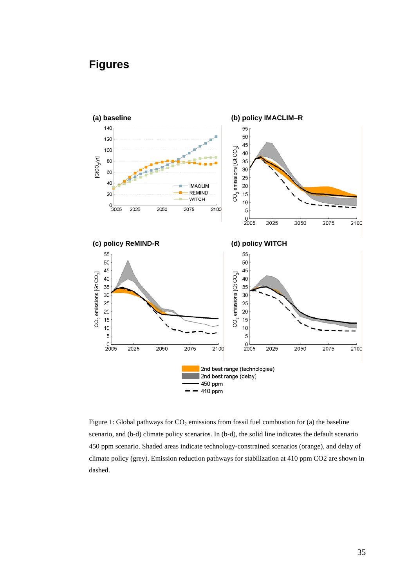### <span id="page-35-0"></span>**Figures**



<span id="page-35-1"></span>Figure 1: Global pathways for  $CO_2$  emissions from fossil fuel combustion for (a) the baseline scenario, and (b-d) climate policy scenarios. In (b-d), the solid line indicates the default scenario 450 ppm scenario. Shaded areas indicate technology-constrained scenarios (orange), and delay of climate policy (grey). Emission reduction pathways for stabilization at 410 ppm CO2 are shown in dashed.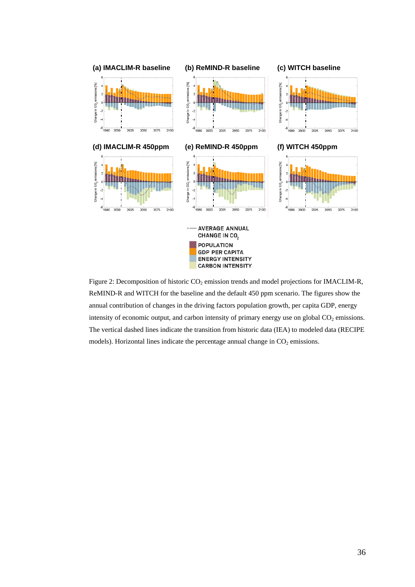

Figure 2: Decomposition of historic  $CO_2$  emission trends and model projections for IMACLIM-R, ReMIND-R and WITCH for the baseline and the default 450 ppm scenario. The figures show the annual contribution of changes in the driving factors population growth, per capita GDP, energy intensity of economic output, and carbon intensity of primary energy use on global  $CO<sub>2</sub>$  emissions. The vertical dashed lines indicate the transition from historic data (IEA) to modeled data (RECIPE models). Horizontal lines indicate the percentage annual change in  $CO<sub>2</sub>$  emissions.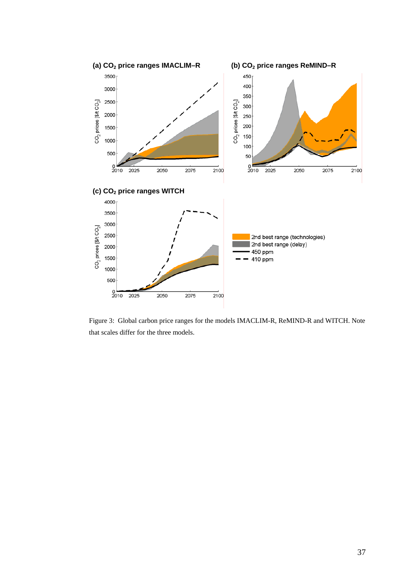

Figure 3: Global carbon price ranges for the models IMACLIM-R, ReMIND-R and WITCH. Note that scales differ for the three models.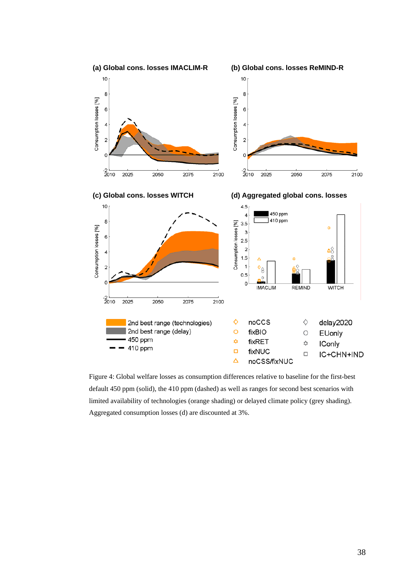

<span id="page-38-0"></span>Figure 4: Global welfare losses as consumption differences relative to baseline for the first-best default 450 ppm (solid), the 410 ppm (dashed) as well as ranges for second best scenarios with limited availability of technologies (orange shading) or delayed climate policy (grey shading). Aggregated consumption losses (d) are discounted at 3%.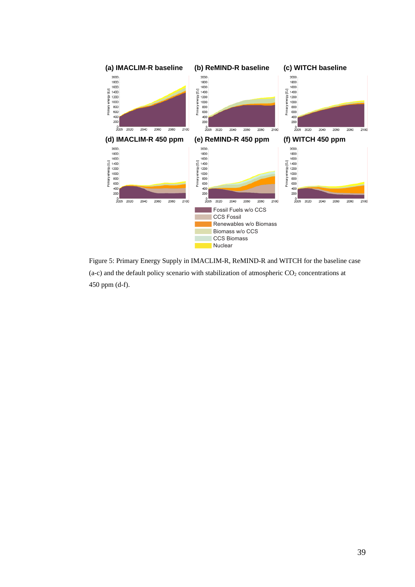

Figure 5: Primary Energy Supply in IMACLIM-R, ReMIND-R and WITCH for the baseline case (a-c) and the default policy scenario with stabilization of atmospheric  $CO_2$  concentrations at 450 ppm (d-f).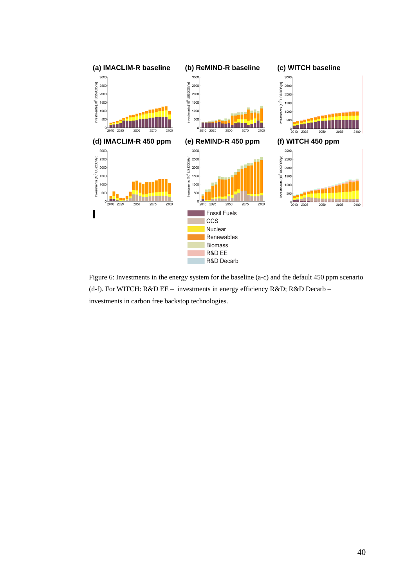

Figure 6: Investments in the energy system for the baseline (a-c) and the default 450 ppm scenario (d-f). For WITCH: R&D EE – investments in energy efficiency R&D; R&D Decarb – investments in carbon free backstop technologies.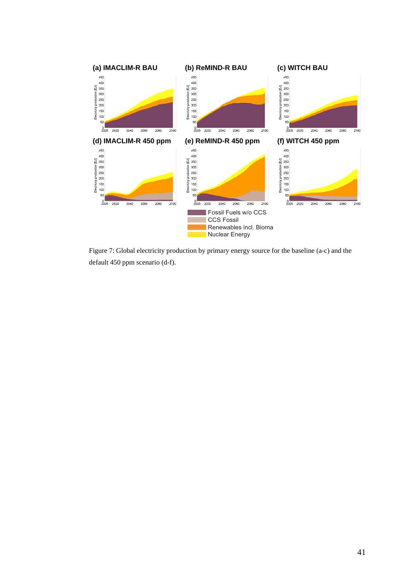

<span id="page-41-0"></span>Figure 7: Global electricity production by primary energy source for the baseline (a-c) and the default 450 ppm scenario (d-f).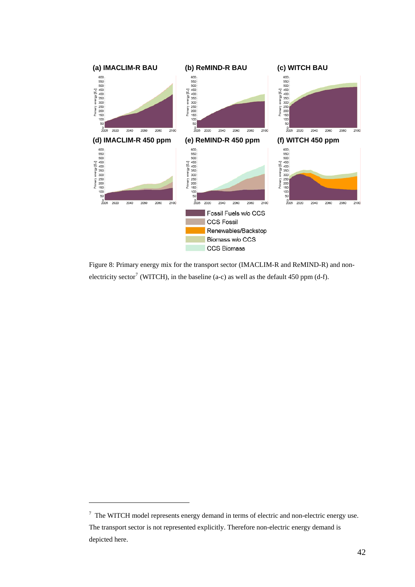

Figure 8: Primary energy mix for the transport sector (IMACLIM-R and ReMIND-R) and non-electricity sector<sup>[7](#page-42-0)</sup> (WITCH), in the baseline (a-c) as well as the default 450 ppm (d-f).

 $\overline{a}$ 

<span id="page-42-0"></span> $7$  The WITCH model represents energy demand in terms of electric and non-electric energy use. The transport sector is not represented explicitly. Therefore non-electric energy demand is depicted here.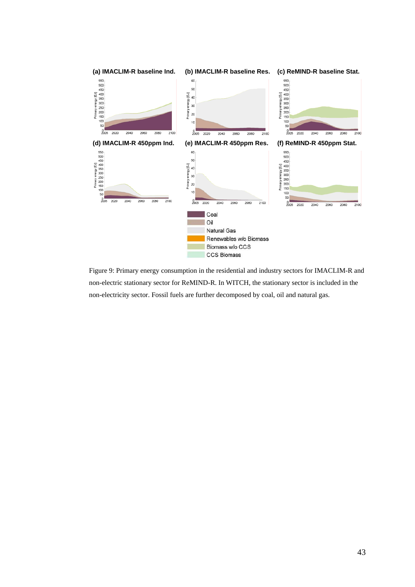

Figure 9: Primary energy consumption in the residential and industry sectors for IMACLIM-R and non-electric stationary sector for ReMIND-R. In WITCH, the stationary sector is included in the non-electricity sector. Fossil fuels are further decomposed by coal, oil and natural gas.